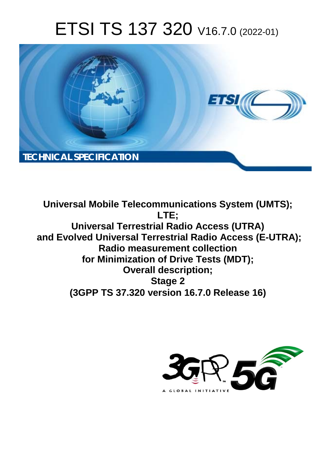# ETSI TS 137 320 V16.7.0 (2022-01)



**Universal Mobile Telecommunications System (UMTS); LTE; Universal Terrestrial Radio Access (UTRA) and Evolved Universal Terrestrial Radio Access (E-UTRA); Radio measurement collection for Minimization of Drive Tests (MDT); Overall description; Stage 2 (3GPP TS 37.320 version 16.7.0 Release 16)** 

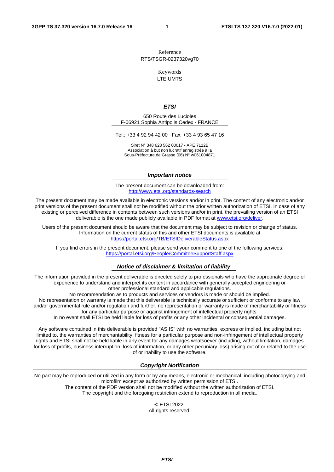Reference RTS/TSGR-0237320vg70

Keywords

LTE,UMTS

#### *ETSI*

650 Route des Lucioles F-06921 Sophia Antipolis Cedex - FRANCE

Tel.: +33 4 92 94 42 00 Fax: +33 4 93 65 47 16

Siret N° 348 623 562 00017 - APE 7112B Association à but non lucratif enregistrée à la Sous-Préfecture de Grasse (06) N° w061004871

#### *Important notice*

The present document can be downloaded from: <http://www.etsi.org/standards-search>

The present document may be made available in electronic versions and/or in print. The content of any electronic and/or print versions of the present document shall not be modified without the prior written authorization of ETSI. In case of any existing or perceived difference in contents between such versions and/or in print, the prevailing version of an ETSI deliverable is the one made publicly available in PDF format at [www.etsi.org/deliver](http://www.etsi.org/deliver).

Users of the present document should be aware that the document may be subject to revision or change of status. Information on the current status of this and other ETSI documents is available at <https://portal.etsi.org/TB/ETSIDeliverableStatus.aspx>

If you find errors in the present document, please send your comment to one of the following services: <https://portal.etsi.org/People/CommiteeSupportStaff.aspx>

#### *Notice of disclaimer & limitation of liability*

The information provided in the present deliverable is directed solely to professionals who have the appropriate degree of experience to understand and interpret its content in accordance with generally accepted engineering or other professional standard and applicable regulations.

No recommendation as to products and services or vendors is made or should be implied.

No representation or warranty is made that this deliverable is technically accurate or sufficient or conforms to any law and/or governmental rule and/or regulation and further, no representation or warranty is made of merchantability or fitness for any particular purpose or against infringement of intellectual property rights.

In no event shall ETSI be held liable for loss of profits or any other incidental or consequential damages.

Any software contained in this deliverable is provided "AS IS" with no warranties, express or implied, including but not limited to, the warranties of merchantability, fitness for a particular purpose and non-infringement of intellectual property rights and ETSI shall not be held liable in any event for any damages whatsoever (including, without limitation, damages for loss of profits, business interruption, loss of information, or any other pecuniary loss) arising out of or related to the use of or inability to use the software.

#### *Copyright Notification*

No part may be reproduced or utilized in any form or by any means, electronic or mechanical, including photocopying and microfilm except as authorized by written permission of ETSI. The content of the PDF version shall not be modified without the written authorization of ETSI.

The copyright and the foregoing restriction extend to reproduction in all media.

© ETSI 2022. All rights reserved.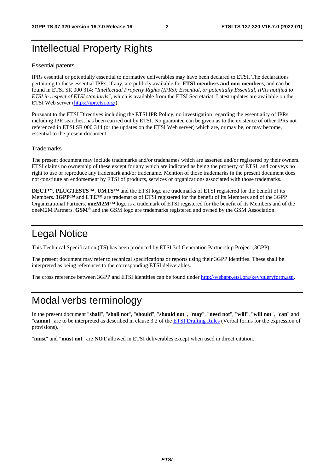# Intellectual Property Rights

#### Essential patents

IPRs essential or potentially essential to normative deliverables may have been declared to ETSI. The declarations pertaining to these essential IPRs, if any, are publicly available for **ETSI members and non-members**, and can be found in ETSI SR 000 314: *"Intellectual Property Rights (IPRs); Essential, or potentially Essential, IPRs notified to ETSI in respect of ETSI standards"*, which is available from the ETSI Secretariat. Latest updates are available on the ETSI Web server ([https://ipr.etsi.org/\)](https://ipr.etsi.org/).

Pursuant to the ETSI Directives including the ETSI IPR Policy, no investigation regarding the essentiality of IPRs, including IPR searches, has been carried out by ETSI. No guarantee can be given as to the existence of other IPRs not referenced in ETSI SR 000 314 (or the updates on the ETSI Web server) which are, or may be, or may become, essential to the present document.

#### **Trademarks**

The present document may include trademarks and/or tradenames which are asserted and/or registered by their owners. ETSI claims no ownership of these except for any which are indicated as being the property of ETSI, and conveys no right to use or reproduce any trademark and/or tradename. Mention of those trademarks in the present document does not constitute an endorsement by ETSI of products, services or organizations associated with those trademarks.

**DECT™**, **PLUGTESTS™**, **UMTS™** and the ETSI logo are trademarks of ETSI registered for the benefit of its Members. **3GPP™** and **LTE™** are trademarks of ETSI registered for the benefit of its Members and of the 3GPP Organizational Partners. **oneM2M™** logo is a trademark of ETSI registered for the benefit of its Members and of the oneM2M Partners. **GSM**® and the GSM logo are trademarks registered and owned by the GSM Association.

# Legal Notice

This Technical Specification (TS) has been produced by ETSI 3rd Generation Partnership Project (3GPP).

The present document may refer to technical specifications or reports using their 3GPP identities. These shall be interpreted as being references to the corresponding ETSI deliverables.

The cross reference between 3GPP and ETSI identities can be found under<http://webapp.etsi.org/key/queryform.asp>.

# Modal verbs terminology

In the present document "**shall**", "**shall not**", "**should**", "**should not**", "**may**", "**need not**", "**will**", "**will not**", "**can**" and "**cannot**" are to be interpreted as described in clause 3.2 of the [ETSI Drafting Rules](https://portal.etsi.org/Services/editHelp!/Howtostart/ETSIDraftingRules.aspx) (Verbal forms for the expression of provisions).

"**must**" and "**must not**" are **NOT** allowed in ETSI deliverables except when used in direct citation.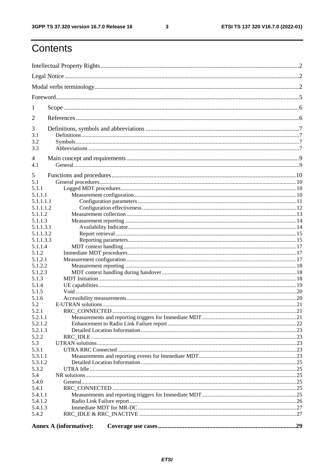$\mathbf{3}$ 

# Contents

| 1                    |                               |     |  |  |  |
|----------------------|-------------------------------|-----|--|--|--|
| 2                    |                               |     |  |  |  |
|                      |                               |     |  |  |  |
| 3<br>3.1             |                               |     |  |  |  |
| 3.2                  |                               |     |  |  |  |
| 3.3                  |                               |     |  |  |  |
| 4                    |                               |     |  |  |  |
| 4.1                  |                               |     |  |  |  |
|                      |                               |     |  |  |  |
| 5                    |                               |     |  |  |  |
| 5.1                  |                               |     |  |  |  |
| 5.1.1                |                               |     |  |  |  |
| 5.1.1.1<br>5.1.1.1.1 |                               |     |  |  |  |
| 5.1.1.1.2            |                               |     |  |  |  |
| 5.1.1.2              |                               |     |  |  |  |
| 5.1.1.3              |                               |     |  |  |  |
| 5.1.1.3.1            |                               |     |  |  |  |
| 5.1.1.3.2            |                               |     |  |  |  |
| 5.1.1.3.3            |                               |     |  |  |  |
| 5.1.1.4              |                               |     |  |  |  |
| 5.1.2                |                               |     |  |  |  |
| 5.1.2.1              |                               |     |  |  |  |
| 5.1.2.2              |                               |     |  |  |  |
| 5.1.2.3              |                               |     |  |  |  |
| 5.1.3<br>5.1.4       |                               |     |  |  |  |
| 5.1.5                |                               |     |  |  |  |
| 5.1.6                |                               |     |  |  |  |
| 5.2                  |                               |     |  |  |  |
| 5.2.1                |                               | .21 |  |  |  |
| 5.2.1.1              |                               |     |  |  |  |
| 5.2.1.2              |                               |     |  |  |  |
| 5.2.1.3              |                               |     |  |  |  |
| 5.2.2                |                               |     |  |  |  |
| 5.3                  |                               |     |  |  |  |
| 5.3.1<br>5.3.1.1     |                               |     |  |  |  |
| 5.3.1.2              |                               |     |  |  |  |
| 5.3.2                |                               |     |  |  |  |
| 5.4                  |                               |     |  |  |  |
| 5.4.0                |                               |     |  |  |  |
| 5.4.1                |                               |     |  |  |  |
| 5.4.1.1              |                               |     |  |  |  |
| 5.4.1.2              |                               |     |  |  |  |
| 5.4.1.3              |                               |     |  |  |  |
| 5.4.2                |                               |     |  |  |  |
|                      | <b>Annex A (informative):</b> |     |  |  |  |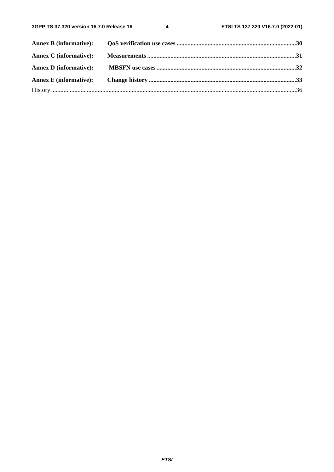$\overline{\mathbf{4}}$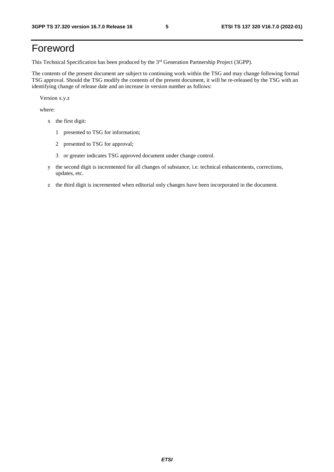# Foreword

This Technical Specification has been produced by the 3<sup>rd</sup> Generation Partnership Project (3GPP).

The contents of the present document are subject to continuing work within the TSG and may change following formal TSG approval. Should the TSG modify the contents of the present document, it will be re-released by the TSG with an identifying change of release date and an increase in version number as follows:

Version x.y.z

where:

- x the first digit:
	- 1 presented to TSG for information;
	- 2 presented to TSG for approval;
	- 3 or greater indicates TSG approved document under change control.
- y the second digit is incremented for all changes of substance, i.e. technical enhancements, corrections, updates, etc.
- z the third digit is incremented when editorial only changes have been incorporated in the document.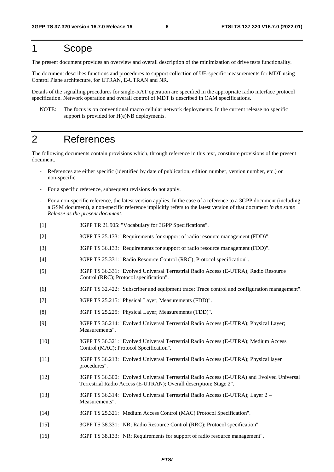# 1 Scope

The present document provides an overview and overall description of the minimization of drive tests functionality.

The document describes functions and procedures to support collection of UE-specific measurements for MDT using Control Plane architecture, for UTRAN, E-UTRAN and NR.

Details of the signalling procedures for single-RAT operation are specified in the appropriate radio interface protocol specification. Network operation and overall control of MDT is described in OAM specifications.

NOTE: The focus is on conventional macro cellular network deployments. In the current release no specific support is provided for H(e)NB deployments.

# 2 References

The following documents contain provisions which, through reference in this text, constitute provisions of the present document.

- References are either specific (identified by date of publication, edition number, version number, etc.) or non-specific.
- For a specific reference, subsequent revisions do not apply.
- For a non-specific reference, the latest version applies. In the case of a reference to a 3GPP document (including a GSM document), a non-specific reference implicitly refers to the latest version of that document *in the same Release as the present document*.
- [1] 3GPP TR 21.905: "Vocabulary for 3GPP Specifications".
- [2] 3GPP TS 25.133: "Requirements for support of radio resource management (FDD)".
- [3] 3GPP TS 36.133: "Requirements for support of radio resource management (FDD)".
- [4] 3GPP TS 25.331: "Radio Resource Control (RRC); Protocol specification".
- [5] 3GPP TS 36.331: "Evolved Universal Terrestrial Radio Access (E-UTRA); Radio Resource Control (RRC); Protocol specification".
- [6] 3GPP TS 32.422: "Subscriber and equipment trace; Trace control and configuration management".
- [7] 3GPP TS 25.215: "Physical Layer; Measurements (FDD)".
- [8] 3GPP TS 25.225: "Physical Layer; Measurements (TDD)".
- [9] 3GPP TS 36.214: "Evolved Universal Terrestrial Radio Access (E-UTRA); Physical Layer; Measurements".
- [10] 3GPP TS 36.321: "Evolved Universal Terrestrial Radio Access (E-UTRA); Medium Access Control (MAC); Protocol Specification".
- [11] 3GPP TS 36.213: "Evolved Universal Terrestrial Radio Access (E-UTRA); Physical layer procedures".
- [12] 3GPP TS 36.300: "Evolved Universal Terrestrial Radio Access (E-UTRA) and Evolved Universal Terrestrial Radio Access (E-UTRAN); Overall description; Stage 2".
- [13] 3GPP TS 36.314: "Evolved Universal Terrestrial Radio Access (E-UTRA); Layer 2 Measurements".
- [14] 3GPP TS 25.321: "Medium Access Control (MAC) Protocol Specification".
- [15] 3GPP TS 38.331: "NR; Radio Resource Control (RRC); Protocol specification".
- [16] 3GPP TS 38.133: "NR; Requirements for support of radio resource management".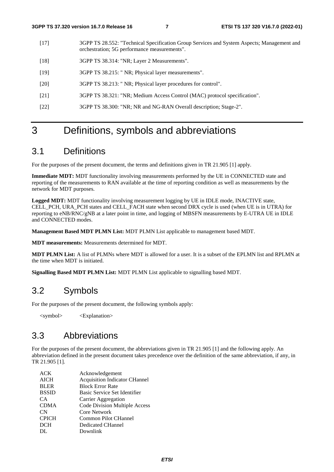- [17] 3GPP TS 28.552: "Technical Specification Group Services and System Aspects; Management and orchestration; 5G performance measurements".
- [18] 3GPP TS 38.314: "NR; Layer 2 Measurements".
- [19] 3GPP TS 38.215: " NR; Physical layer measurements".
- [20] 3GPP TS 38.213: " NR; Physical layer procedures for control".
- [21] 3GPP TS 38.321: "NR; Medium Access Control (MAC) protocol specification".
- [22] 3GPP TS 38.300: "NR; NR and NG-RAN Overall description; Stage-2".

# 3 Definitions, symbols and abbreviations

# 3.1 Definitions

For the purposes of the present document, the terms and definitions given in TR 21.905 [1] apply.

**Immediate MDT:** MDT functionality involving measurements performed by the UE in CONNECTED state and reporting of the measurements to RAN available at the time of reporting condition as well as measurements by the network for MDT purposes.

**Logged MDT:** MDT functionality involving measurement logging by UE in IDLE mode, INACTIVE state, CELL PCH, URA PCH states and CELL FACH state when second DRX cycle is used (when UE is in UTRA) for reporting to eNB/RNC/gNB at a later point in time, and logging of MBSFN measurements by E-UTRA UE in IDLE and CONNECTED modes.

**Management Based MDT PLMN List:** MDT PLMN List applicable to management based MDT.

**MDT measurements:** Measurements determined for MDT.

**MDT PLMN List:** A list of PLMNs where MDT is allowed for a user. It is a subset of the EPLMN list and RPLMN at the time when MDT is initiated.

**Signalling Based MDT PLMN List:** MDT PLMN List applicable to signalling based MDT.

# 3.2 Symbols

For the purposes of the present document, the following symbols apply:

<symbol> <Explanation>

## 3.3 Abbreviations

For the purposes of the present document, the abbreviations given in TR 21.905 [1] and the following apply. An abbreviation defined in the present document takes precedence over the definition of the same abbreviation, if any, in TR 21.905 [1].

| <b>ACK</b>   | Acknowledgement                      |
|--------------|--------------------------------------|
| AICH         | <b>Acquisition Indicator CHannel</b> |
| <b>BLER</b>  | <b>Block Error Rate</b>              |
| <b>BSSID</b> | Basic Service Set Identifier         |
| CA.          | Carrier Aggregation                  |
| <b>CDMA</b>  | Code Division Multiple Access        |
| CN           | <b>Core Network</b>                  |
| <b>CPICH</b> | <b>Common Pilot CHannel</b>          |
| <b>DCH</b>   | Dedicated CHannel                    |
| DL.          | Downlink                             |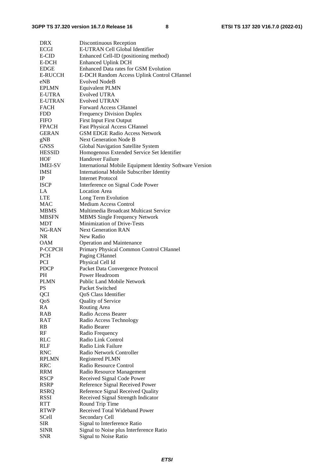| <b>DRX</b>                | Discontinuous Reception                                          |
|---------------------------|------------------------------------------------------------------|
| <b>ECGI</b>               | E-UTRAN Cell Global Identifier                                   |
| E-CID                     | Enhanced Cell-ID (positioning method)                            |
| E-DCH                     | <b>Enhanced Uplink DCH</b>                                       |
| <b>EDGE</b>               | Enhanced Data rates for GSM Evolution                            |
| <b>E-RUCCH</b>            | E-DCH Random Access Uplink Control CHannel                       |
| eNB                       | <b>Evolved NodeB</b>                                             |
| <b>EPLMN</b>              | <b>Equivalent PLMN</b>                                           |
| <b>E-UTRA</b>             | <b>Evolved UTRA</b>                                              |
| <b>E-UTRAN</b>            | <b>Evolved UTRAN</b>                                             |
| <b>FACH</b>               | <b>Forward Access CHannel</b>                                    |
| FDD                       | <b>Frequency Division Duplex</b>                                 |
| <b>FIFO</b>               | <b>First Input First Output</b>                                  |
| <b>FPACH</b>              | <b>Fast Physical Access CHannel</b>                              |
| GERAN                     | <b>GSM EDGE Radio Access Network</b>                             |
| gNB                       | <b>Next Generation Node B</b>                                    |
| <b>GNSS</b>               | Global Navigation Satellite System                               |
| <b>HESSID</b>             | Homogenous Extended Service Set Identifier                       |
| HOF                       | <b>Handover Failure</b>                                          |
| <b>IMEI-SV</b>            | <b>International Mobile Equipment Identity Software Version</b>  |
| IMSI                      | <b>International Mobile Subscriber Identity</b>                  |
| $_{\rm IP}$               | <b>Internet Protocol</b>                                         |
| <b>ISCP</b>               | Interference on Signal Code Power                                |
| LA                        | <b>Location Area</b>                                             |
| <b>LTE</b>                | Long Term Evolution                                              |
| <b>MAC</b>                | <b>Medium Access Control</b>                                     |
| MBMS                      | Multimedia Broadcast Multicast Service                           |
| <b>MBSFN</b>              | <b>MBMS Single Frequency Network</b>                             |
| MDT                       | Minimization of Drive-Tests                                      |
| NG-RAN                    | <b>Next Generation RAN</b>                                       |
| <b>NR</b>                 | New Radio                                                        |
| OAM                       | <b>Operation and Maintenance</b>                                 |
|                           |                                                                  |
|                           |                                                                  |
| P-CCPCH                   | Primary Physical Common Control CHannel                          |
| <b>PCH</b>                | Paging CHannel                                                   |
| PCI                       | Physical Cell Id                                                 |
| <b>PDCP</b>               | Packet Data Convergence Protocol                                 |
| PH.                       | Power Headroom                                                   |
| <b>PLMN</b>               | <b>Public Land Mobile Network</b>                                |
| PS                        | Packet Switched                                                  |
| QCI                       | QoS Class Identifier                                             |
| QoS                       | <b>Quality of Service</b>                                        |
| RA                        | Routing Area                                                     |
| <b>RAB</b>                | Radio Access Bearer                                              |
| RAT                       | Radio Access Technology                                          |
| RB                        | Radio Bearer                                                     |
| RF                        | Radio Frequency                                                  |
| <b>RLC</b>                | Radio Link Control                                               |
| RLF                       | Radio Link Failure                                               |
| <b>RNC</b>                | Radio Network Controller                                         |
| <b>RPLMN</b>              | Registered PLMN                                                  |
| <b>RRC</b>                | Radio Resource Control                                           |
| RRM                       | Radio Resource Management                                        |
| <b>RSCP</b>               | Received Signal Code Power                                       |
| <b>RSRP</b>               | Reference Signal Received Power                                  |
| <b>RSRQ</b>               | Reference Signal Received Quality                                |
| RSSI                      | Received Signal Strength Indicator                               |
| <b>RTT</b>                | Round Trip Time                                                  |
| <b>RTWP</b>               | Received Total Wideband Power                                    |
| SCell                     | Secondary Cell                                                   |
| SIR                       | Signal to Interference Ratio                                     |
| <b>SINR</b><br><b>SNR</b> | Signal to Noise plus Interference Ratio<br>Signal to Noise Ratio |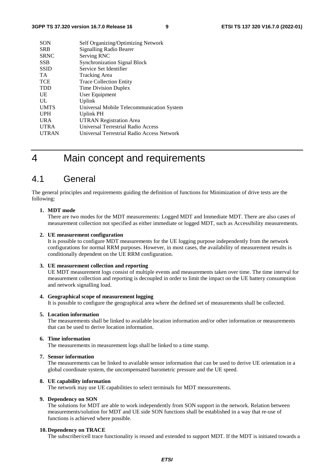| <b>SON</b>   | Self Organizing/Optimizing Network         |
|--------------|--------------------------------------------|
| <b>SRB</b>   | Signalling Radio Bearer                    |
| <b>SRNC</b>  | Serving RNC                                |
| <b>SSB</b>   | <b>Synchronization Signal Block</b>        |
| <b>SSID</b>  | Service Set Identifier                     |
| <b>TA</b>    | <b>Tracking Area</b>                       |
| <b>TCE</b>   | <b>Trace Collection Entity</b>             |
| <b>TDD</b>   | Time Division Duplex                       |
| UE           | User Equipment                             |
| UL           | Uplink                                     |
| <b>UMTS</b>  | Universal Mobile Telecommunication System  |
| <b>UPH</b>   | Uplink PH                                  |
| <b>URA</b>   | <b>UTRAN Registration Area</b>             |
| <b>UTRA</b>  | Universal Terrestrial Radio Access         |
| <b>UTRAN</b> | Universal Terrestrial Radio Access Network |
|              |                                            |

# 4 Main concept and requirements

# 4.1 General

The general principles and requirements guiding the definition of functions for Minimization of drive tests are the following:

#### **1. MDT mode**

There are two modes for the MDT measurements: Logged MDT and Immediate MDT. There are also cases of measurement collection not specified as either immediate or logged MDT, such as Accessibility measurements.

#### **2. UE measurement configuration**

It is possible to configure MDT measurements for the UE logging purpose independently from the network configurations for normal RRM purposes. However, in most cases, the availability of measurement results is conditionally dependent on the UE RRM configuration.

#### **3. UE measurement collection and reporting**

UE MDT measurement logs consist of multiple events and measurements taken over time. The time interval for measurement collection and reporting is decoupled in order to limit the impact on the UE battery consumption and network signalling load.

#### **4. Geographical scope of measurement logging**

It is possible to configure the geographical area where the defined set of measurements shall be collected.

#### **5. Location information**

The measurements shall be linked to available location information and/or other information or measurements that can be used to derive location information.

#### **6. Time information**

The measurements in measurement logs shall be linked to a time stamp.

#### **7. Sensor information**

The measurements can be linked to available sensor information that can be used to derive UE orientation in a global coordinate system, the uncompensated barometric pressure and the UE speed.

#### **8. UE capability information**

The network may use UE capabilities to select terminals for MDT measurements.

#### **9. Dependency on SON**

The solutions for MDT are able to work independently from SON support in the network. Relation between measurements/solution for MDT and UE side SON functions shall be established in a way that re-use of functions is achieved where possible.

#### **10. Dependency on TRACE**

The subscriber/cell trace functionality is reused and extended to support MDT. If the MDT is initiated towards a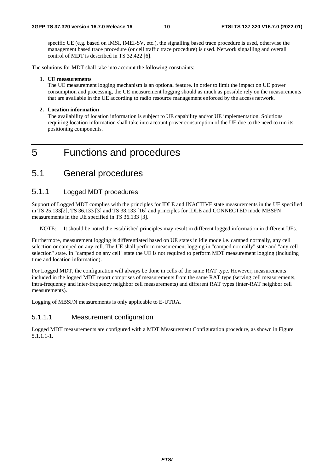specific UE (e.g. based on IMSI, IMEI-SV, etc.), the signalling based trace procedure is used, otherwise the management based trace procedure (or cell traffic trace procedure) is used. Network signalling and overall control of MDT is described in TS 32.422 [6].

The solutions for MDT shall take into account the following constraints:

#### **1. UE measurements**

The UE measurement logging mechanism is an optional feature. In order to limit the impact on UE power consumption and processing, the UE measurement logging should as much as possible rely on the measurements that are available in the UE according to radio resource management enforced by the access network.

#### **2. Location information**

The availability of location information is subject to UE capability and/or UE implementation. Solutions requiring location information shall take into account power consumption of the UE due to the need to run its positioning components.

# 5 Functions and procedures

# 5.1 General procedures

### 5.1.1 Logged MDT procedures

Support of Logged MDT complies with the principles for IDLE and INACTIVE state measurements in the UE specified in TS 25.133[2], TS 36.133 [3] and TS 38.133 [16] and principles for IDLE and CONNECTED mode MBSFN measurements in the UE specified in TS 36.133 [3].

NOTE: It should be noted the established principles may result in different logged information in different UEs.

Furthermore, measurement logging is differentiated based on UE states in idle mode i.e. camped normally, any cell selection or camped on any cell. The UE shall perform measurement logging in "camped normally" state and "any cell selection" state. In "camped on any cell" state the UE is not required to perform MDT measurement logging (including time and location information).

For Logged MDT, the configuration will always be done in cells of the same RAT type. However, measurements included in the logged MDT report comprises of measurements from the same RAT type (serving cell measurements, intra-frequency and inter-frequency neighbor cell measurements) and different RAT types (inter-RAT neighbor cell measurements).

Logging of MBSFN measurements is only applicable to E-UTRA.

#### 5.1.1.1 Measurement configuration

Logged MDT measurements are configured with a MDT Measurement Configuration procedure, as shown in Figure 5.1.1.1-1.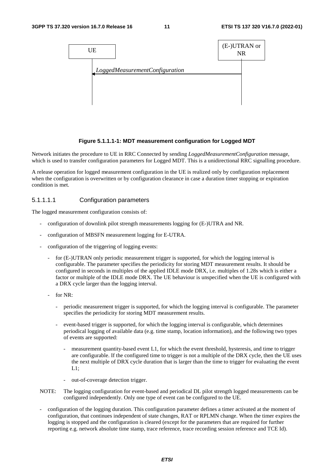

#### **Figure 5.1.1.1-1: MDT measurement configuration for Logged MDT**

Network initiates the procedure to UE in RRC Connected by sending *LoggedMeasurementConfiguration* message, which is used to transfer configuration parameters for Logged MDT. This is a unidirectional RRC signalling procedure.

A release operation for logged measurement configuration in the UE is realized only by configuration replacement when the configuration is overwritten or by configuration clearance in case a duration timer stopping or expiration condition is met.

#### 5.1.1.1.1 Configuration parameters

The logged measurement configuration consists of:

- configuration of downlink pilot strength measurements logging for (E-)UTRA and NR.
- configuration of MBSFN measurement logging for E-UTRA.
- configuration of the triggering of logging events:
	- for (E-)UTRAN only periodic measurement trigger is supported, for which the logging interval is configurable. The parameter specifies the periodicity for storing MDT measurement results. It should be configured in seconds in multiples of the applied IDLE mode DRX, i.e. multiples of 1.28s which is either a factor or multiple of the IDLE mode DRX. The UE behaviour is unspecified when the UE is configured with a DRX cycle larger than the logging interval.
	- for NR:
		- periodic measurement trigger is supported, for which the logging interval is configurable. The parameter specifies the periodicity for storing MDT measurement results.
		- event-based trigger is supported, for which the logging interval is configurable, which determines periodical logging of available data (e.g. time stamp, location information), and the following two types of events are supported:
			- measurement quantity-based event L1, for which the event threshold, hysteresis, and time to trigger are configurable. If the configured time to trigger is not a multiple of the DRX cycle, then the UE uses the next multiple of DRX cycle duration that is larger than the time to trigger for evaluating the event  $L1$ :
			- out-of-coverage detection trigger.
- NOTE: The logging configuration for event-based and periodical DL pilot strength logged measurements can be configured independently. Only one type of event can be configured to the UE.
- configuration of the logging duration. This configuration parameter defines a timer activated at the moment of configuration, that continues independent of state changes, RAT or RPLMN change. When the timer expires the logging is stopped and the configuration is cleared (except for the parameters that are required for further reporting e.g. network absolute time stamp, trace reference, trace recording session reference and TCE Id).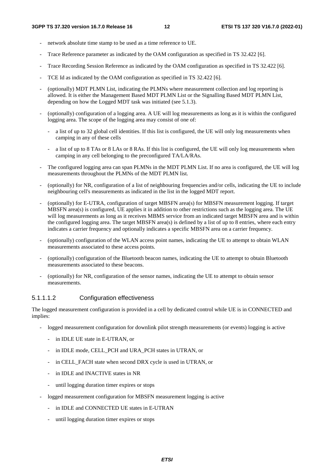- network absolute time stamp to be used as a time reference to UE.
- Trace Reference parameter as indicated by the OAM configuration as specified in TS 32.422 [6].
- Trace Recording Session Reference as indicated by the OAM configuration as specified in TS 32.422 [6].
- TCE Id as indicated by the OAM configuration as specified in TS 32.422 [6].
- (optionally) MDT PLMN List, indicating the PLMNs where measurement collection and log reporting is allowed. It is either the Management Based MDT PLMN List or the Signalling Based MDT PLMN List, depending on how the Logged MDT task was initiated (see 5.1.3).
- (optionally) configuration of a logging area. A UE will log measurements as long as it is within the configured logging area. The scope of the logging area may consist of one of:
	- a list of up to 32 global cell identities. If this list is configured, the UE will only log measurements when camping in any of these cells
	- a list of up to 8 TAs or 8 LAs or 8 RAs. If this list is configured, the UE will only log measurements when camping in any cell belonging to the preconfigured TA/LA/RAs.
- The configured logging area can span PLMNs in the MDT PLMN List. If no area is configured, the UE will log measurements throughout the PLMNs of the MDT PLMN list.
- (optionally) for NR, configuration of a list of neighbouring frequencies and/or cells, indicating the UE to include neighbouring cell's measurements as indicated in the list in the logged MDT report.
- (optionally) for E-UTRA, configuration of target MBSFN area(s) for MBSFN measurement logging. If target MBSFN area(s) is configured, UE applies it in addition to other restrictions such as the logging area. The UE will log measurements as long as it receives MBMS service from an indicated target MBSFN area and is within the configured logging area. The target MBSFN area(s) is defined by a list of up to 8 entries, where each entry indicates a carrier frequency and optionally indicates a specific MBSFN area on a carrier frequency.
- (optionally) configuration of the WLAN access point names, indicating the UE to attempt to obtain WLAN measurements associated to these access points.
- (optionally) configuration of the Bluetooth beacon names, indicating the UE to attempt to obtain Bluetooth measurements associated to these beacons.
- (optionally) for NR, configuration of the sensor names, indicating the UE to attempt to obtain sensor measurements.

#### 5.1.1.1.2 Configuration effectiveness

The logged measurement configuration is provided in a cell by dedicated control while UE is in CONNECTED and implies:

- logged measurement configuration for downlink pilot strength measurements (or events) logging is active
	- in IDLE UE state in E-UTRAN, or
	- in IDLE mode, CELL\_PCH and URA\_PCH states in UTRAN, or
	- in CELL\_FACH state when second DRX cycle is used in UTRAN, or
	- in IDLE and INACTIVE states in NR
	- until logging duration timer expires or stops
- logged measurement configuration for MBSFN measurement logging is active
	- in IDLE and CONNECTED UE states in E-UTRAN
	- until logging duration timer expires or stops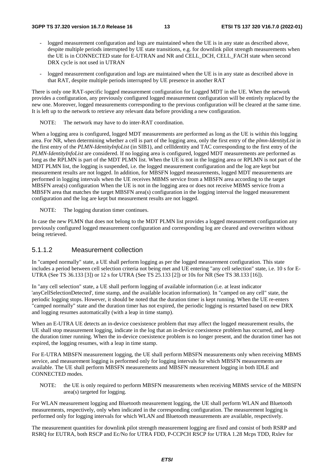- logged measurement configuration and logs are maintained when the UE is in any state as described above, despite multiple periods interrupted by UE state transitions, e.g. for downlink pilot strength measurements when the UE is in CONNECTED state for E-UTRAN and NR and CELL\_DCH, CELL\_FACH state when second DRX cycle is not used in UTRAN
- logged measurement configuration and logs are maintained when the UE is in any state as described above in that RAT, despite multiple periods interrupted by UE presence in another RAT

There is only one RAT-specific logged measurement configuration for Logged MDT in the UE. When the network provides a configuration, any previously configured logged measurement configuration will be entirely replaced by the new one. Moreover, logged measurements corresponding to the previous configuration will be cleared at the same time. It is left up to the network to retrieve any relevant data before providing a new configuration.

NOTE: The network may have to do inter-RAT coordination.

When a logging area is configured, logged MDT measurements are performed as long as the UE is within this logging area. For NR, when determining whether a cell is part of the logging area, only the first entry of the *plmn-IdentityList* in the first entry of the *PLMN-IdentityInfoList* (in SIB1), and cellIdentity and TAC corresponding to the first entry of the *PLMN-IdentityInfoList* are considered. If no logging area is configured, logged MDT measurements are performed as long as the RPLMN is part of the MDT PLMN list. When the UE is not in the logging area or RPLMN is not part of the MDT PLMN list, the logging is suspended, i.e. the logged measurement configuration and the log are kept but measurement results are not logged. In addition, for MBSFN logged measurements, logged MDT measurements are performed in logging intervals when the UE receives MBMS service from a MBSFN area according to the target MBSFN area(s) configuration When the UE is not in the logging area or does not receive MBMS service from a MBSFN area that matches the target MBSFN area(s) configuration in the logging interval the logged measurement configuration and the log are kept but measurement results are not logged.

NOTE: The logging duration timer continues.

In case the new PLMN that does not belong to the MDT PLMN list provides a logged measurement configuration any previously configured logged measurement configuration and corresponding log are cleared and overwritten without being retrieved.

#### 5.1.1.2 Measurement collection

In "camped normally" state, a UE shall perform logging as per the logged measurement configuration. This state includes a period between cell selection criteria not being met and UE entering "any cell selection" state, i.e. 10 s for E-UTRA (See TS 36.133 [3]) or 12 s for UTRA (See TS 25.133 [2]) or 10s for NR (See TS 38.133 [16]).

In "any cell selection" state, a UE shall perform logging of available information (i.e. at least indicator 'anyCellSelectionDetected', time stamp, and the available location information). In "camped on any cell" state, the periodic logging stops. However, it should be noted that the duration timer is kept running. When the UE re-enters "camped normally" state and the duration timer has not expired, the periodic logging is restarted based on new DRX and logging resumes automatically (with a leap in time stamp).

When an E-UTRA UE detects an in-device coexistence problem that may affect the logged measurement results, the UE shall stop measurement logging, indicate in the log that an in-device coexistence problem has occurred, and keep the duration timer running. When the in-device coexistence problem is no longer present, and the duration timer has not expired, the logging resumes, with a leap in time stamp.

For E-UTRA MBSFN measurement logging, the UE shall perform MBSFN measurements only when receiving MBMS service, and measurement logging is performed only for logging intervals for which MBSFN measurements are available. The UE shall perform MBSFN measurements and MBSFN measurement logging in both IDLE and CONNECTED modes.

NOTE: the UE is only required to perform MBSFN measurements when receiving MBMS service of the MBSFN area(s) targeted for logging.

For WLAN measurement logging and Bluetooth measurement logging, the UE shall perform WLAN and Bluetooth measurements, respectively, only when indicated in the corresponding configuration. The measurement logging is performed only for logging intervals for which WLAN and Bluetooth measurements are available, respectively.

The measurement quantities for downlink pilot strength measurement logging are fixed and consist of both RSRP and RSRQ for EUTRA, both RSCP and Ec/No for UTRA FDD, P-CCPCH RSCP for UTRA 1.28 Mcps TDD, Rxlev for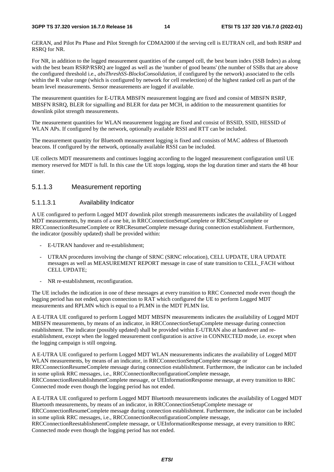GERAN, and Pilot Pn Phase and Pilot Strength for CDMA2000 if the serving cell is EUTRAN cell, and both RSRP and RSRQ for NR.

For NR, in addition to the logged measurement quantities of the camped cell, the best beam index (SSB Index) as along with the best beam RSRP/RSRQ are logged as well as the 'number of good beams' (the number of SSBs that are above the configured threshold i.e., *absThreshSS-BlocksConsolidation,* if configured by the network) associated to the cells within the R value range (which is configured by network for cell reselection) of the highest ranked cell as part of the beam level measurements. Sensor measurements are logged if available.

The measurement quantities for E-UTRA MBSFN measurement logging are fixed and consist of MBSFN RSRP, MBSFN RSRQ, BLER for signalling and BLER for data per MCH, in addition to the measurement quantities for downlink pilot strength measurements.

The measurement quantities for WLAN measurement logging are fixed and consist of BSSID, SSID, HESSID of WLAN APs. If configured by the network, optionally available RSSI and RTT can be included.

The measurement quantity for Bluetooth measurement logging is fixed and consists of MAC address of Bluetooth beacons. If configured by the network, optionally available RSSI can be included.

UE collects MDT measurements and continues logging according to the logged measurement configuration until UE memory reserved for MDT is full. In this case the UE stops logging, stops the log duration timer and starts the 48 hour timer.

#### 5.1.1.3 Measurement reporting

#### 5.1.1.3.1 Availability Indicator

A UE configured to perform Logged MDT downlink pilot strength measurements indicates the availability of Logged MDT measurements, by means of a one bit, in RRCConnectionSetupComplete or RRCSetupComplete or RRCConnectionResumeComplete or RRCResumeComplete message during connection establishment. Furthermore, the indicator (possibly updated) shall be provided within:

- E-UTRAN handover and re-establishment;
- UTRAN procedures involving the change of SRNC (SRNC relocation), CELL UPDATE, URA UPDATE messages as well as MEASUREMENT REPORT message in case of state transition to CELL\_FACH without CELL UPDATE;
- NR re-establishment, reconfiguration.

The UE includes the indication in one of these messages at every transition to RRC Connected mode even though the logging period has not ended, upon connection to RAT which configured the UE to perform Logged MDT measurements and RPLMN which is equal to a PLMN in the MDT PLMN list.

A E-UTRA UE configured to perform Logged MDT MBSFN measurements indicates the availability of Logged MDT MBSFN measurements, by means of an indicator, in RRCConnectionSetupComplete message during connection establishment. The indicator (possibly updated) shall be provided within E-UTRAN also at handover and reestablishment, except when the logged measurement configuration is active in CONNECTED mode, i.e. except when the logging campaign is still ongoing.

A E-UTRA UE configured to perform Logged MDT WLAN measurements indicates the availability of Logged MDT WLAN measurements, by means of an indicator, in RRCConnectionSetupComplete message or RRCConnectionResumeComplete message during connection establishment. Furthermore, the indicator can be included in some uplink RRC messages, i.e., RRCConnectionReconfigurationComplete message, RRCConnectionReestablishmentComplete message, or UEInformationResponse message, at every transition to RRC Connected mode even though the logging period has not ended.

A E-UTRA UE configured to perform Logged MDT Bluetooth measurements indicates the availability of Logged MDT Bluetooth measurements, by means of an indicator, in RRCConnectionSetupComplete message or RRCConnectionResumeComplete message during connection establishment. Furthermore, the indicator can be included in some uplink RRC messages, i.e., RRCConnectionReconfigurationComplete message,

RRCConnectionReestablishmentComplete message, or UEInformationResponse message, at every transition to RRC Connected mode even though the logging period has not ended.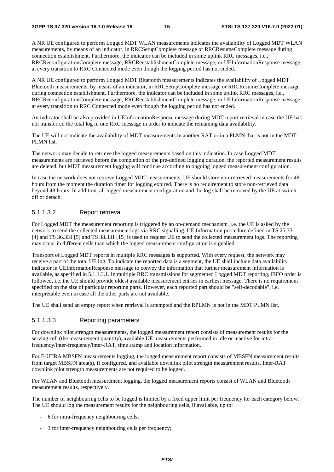A NR UE configured to perform Logged MDT WLAN measurements indicates the availability of Logged MDT WLAN measurements, by means of an indicator, in RRCSetupComplete message or RRCResumeComplete message during connection establishment. Furthermore, the indicator can be included in some uplink RRC messages, i.e., RRCReconfigurationComplete message, RRCReestablishmentComplete message, or UEInformationResponse message, at every transition to RRC Connected mode even though the logging period has not ended.

A NR UE configured to perform Logged MDT Bluetooth measurements indicates the availability of Logged MDT Bluetooth measurements, by means of an indicator, in RRCSetupComplete message or RRCResumeComplete message during connection establishment. Furthermore, the indicator can be included in some uplink RRC messages, i.e., RRCReconfigurationComplete message, RRCReestablishmentComplete message, or UEInformationResponse message, at every transition to RRC Connected mode even though the logging period has not ended.

An indicator shall be also provided in UEInformationResponse message during MDT report retrieval in case the UE has not transferred the total log in one RRC message in order to indicate the remaining data availability.

The UE will not indicate the availability of MDT measurements in another RAT or in a PLMN that is not in the MDT PLMN list.

The network may decide to retrieve the logged measurements based on this indication. In case Logged MDT measurements are retrieved before the completion of the pre-defined logging duration, the reported measurement results are deleted, but MDT measurement logging will continue according to ongoing logged measurement configuration.

In case the network does not retrieve Logged MDT measurements, UE should store non-retrieved measurements for 48 hours from the moment the duration timer for logging expired. There is no requirement to store non-retrieved data beyond 48 hours. In addition, all logged measurement configuration and the log shall be removed by the UE at switch off or detach.

#### 5.1.1.3.2 Report retrieval

For Logged MDT the measurement reporting is triggered by an on-demand mechanism, i.e. the UE is asked by the network to send the collected measurement logs via RRC signalling. UE Information procedure defined in TS 25.331 [4] and TS 36.331 [5] and TS 38.331 [15] is used to request UE to send the collected measurement logs. The reporting may occur in different cells than which the logged measurement configuration is signalled.

Transport of Logged MDT reports in multiple RRC messages is supported. With every request, the network may receive a part of the total UE log. To indicate the reported data is a segment, the UE shall include data availability indicator in UEInformatonResponse message to convey the information that further measurement information is available, as specified in 5.1.1.3.1. In multiple RRC transmissions for segmented Logged MDT reporting, FIFO order is followed, i.e. the UE should provide oldest available measurement entries in earliest message. There is no requirement specified on the size of particular reporting parts. However, each reported part should be "self-decodable", i.e. interpretable even in case all the other parts are not available.

The UE shall send an empty report when retrieval is attempted and the RPLMN is not in the MDT PLMN list.

#### 5.1.1.3.3 Reporting parameters

For downlink pilot strength measurements, the logged measurement report consists of measurement results for the serving cell (the measurement quantity), available UE measurements performed in idle or inactive for intrafrequency/inter-frequency/inter-RAT, time stamp and location information.

For E-UTRA MBSFN measurements logging, the logged measurement report consists of MBSFN measurement results from target MBSFN area(s), if configured, and available downlink pilot strength measurement results. Inter-RAT downlink pilot strength measurements are not required to be logged.

For WLAN and Bluetooth measurement logging, the logged measurement reports consist of WLAN and Bluetooth measurement results, respectively.

The number of neighbouring cells to be logged is limited by a fixed upper limit per frequency for each category below. The UE should log the measurement results for the neighbouring cells, if available, up to:

- 6 for intra-frequency neighbouring cells;
- 3 for inter-frequency neighbouring cells per frequency;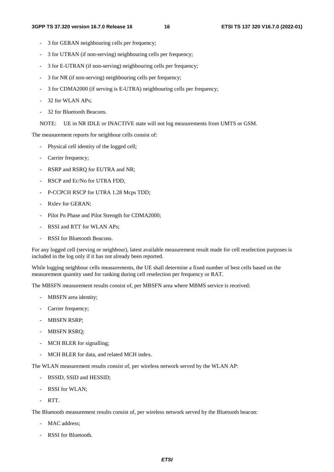- 3 for GERAN neighbouring cells per frequency;
- 3 for UTRAN (if non-serving) neighbouring cells per frequency;
- 3 for E-UTRAN (if non-serving) neighbouring cells per frequency;
- 3 for NR (if non-serving) neighbouring cells per frequency;
- 3 for CDMA2000 (if serving is E-UTRA) neighbouring cells per frequency;
- 32 for WLAN APs;
- 32 for Bluetooth Beacons.
- NOTE: UE in NR IDLE or INACTIVE state will not log measurements from UMTS or GSM.

The measurement reports for neighbour cells consist of:

- Physical cell identity of the logged cell;
- Carrier frequency;
- RSRP and RSRO for EUTRA and NR:
- RSCP and Ec/No for UTRA FDD,
- P-CCPCH RSCP for UTRA 1.28 Mcps TDD;
- Rxlev for GERAN:
- Pilot Pn Phase and Pilot Strength for CDMA2000;
- RSSI and RTT for WLAN APs:
- RSSI for Bluetooth Beacons.

For any logged cell (serving or neighbour), latest available measurement result made for cell reselection purposes is included in the log only if it has not already been reported.

While logging neighbour cells measurements, the UE shall determine a fixed number of best cells based on the measurement quantity used for ranking during cell reselection per frequency or RAT.

The MBSFN measurement results consist of, per MBSFN area where MBMS service is received:

- MBSFN area identity;
- Carrier frequency;
- MBSFN RSRP;
- MBSFN RSRQ;
- MCH BLER for signalling;
- MCH BLER for data, and related MCH index.

The WLAN measurement results consist of, per wireless network served by the WLAN AP:

- BSSID, SSID and HESSID;
- RSSI for WLAN:
- RTT.

The Bluetooth measurement results consist of, per wireless network served by the Bluetooth beacon:

- MAC address;
- RSSI for Bluetooth.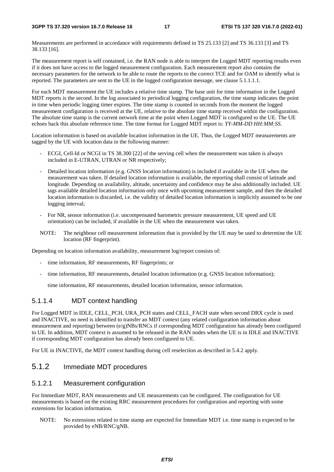**3GPP TS 37.320 version 16.7.0 Release 16 17 ETSI TS 137 320 V16.7.0 (2022-01)**

Measurements are performed in accordance with requirements defined in TS 25.133 [2] and TS 36.133 [3] and TS 38.133 [16].

The measurement report is self contained, i.e. the RAN node is able to interpret the Logged MDT reporting results even if it does not have access to the logged measurement configuration. Each measurement report also contains the necessary parameters for the network to be able to route the reports to the correct TCE and for OAM to identify what is reported. The parameters are sent to the UE in the logged configuration message, see clause 5.1.1.1.1.

For each MDT measurement the UE includes a relative time stamp. The base unit for time information in the Logged MDT reports is the second. In the log associated to periodical logging configuration, the time stamp indicates the point in time when periodic logging timer expires. The time stamp is counted in seconds from the moment the logged measurement configuration is received at the UE, relative to the absolute time stamp received within the configuration. The absolute time stamp is the current network time at the point when Logged MDT is configured to the UE. The UE echoes back this absolute reference time. The time format for Logged MDT report is: *YY-MM-DD HH:MM:SS*.

Location information is based on available location information in the UE. Thus, the Logged MDT measurements are tagged by the UE with location data in the following manner:

- ECGI, Cell-Id or NCGI in TS 38.300 [22] of the serving cell when the measurement was taken is always included in E-UTRAN, UTRAN or NR respectively;
- Detailed location information (e.g. GNSS location information) is included if available in the UE when the measurement was taken. If detailed location information is available, the reporting shall consist of latitude and longitude. Depending on availability, altitude, uncertainty and confidence may be also additionally included. UE tags available detailed location information only once with upcoming measurement sample, and then the detailed location information is discarded, i.e. the validity of detailed location information is implicitly assumed to be one logging interval;
- For NR, sensor information (i.e. uncompensated barometric pressure measurement, UE speed and UE orientation) can be included, if available in the UE when the measurement was taken.
- NOTE: The neighbour cell measurement information that is provided by the UE may be used to determine the UE location (RF fingerprint).

Depending on location information availability, measurement log/report consists of:

- time information, RF measurements, RF fingerprints; or
- time information, RF measurements, detailed location information (e.g. GNSS location information);

time information, RF measurements, detailed location information, sensor information.

### 5.1.1.4 MDT context handling

For Logged MDT in IDLE, CELL\_PCH, URA\_PCH states and CELL\_FACH state when second DRX cycle is used and INACTIVE, no need is identified to transfer an MDT context (any related configuration information about measurement and reporting) between (e/g)NBs/RNCs if corresponding MDT configuration has already been configured to UE. In addition, MDT context is assumed to be released in the RAN nodes when the UE is in IDLE and INACTIVE if corresponding MDT configuration has already been configured to UE.

For UE in INACTIVE, the MDT context handling during cell reselection as described in 5.4.2 apply.

## 5.1.2 Immediate MDT procedures

### 5.1.2.1 Measurement configuration

For Immediate MDT, RAN measurements and UE measurements can be configured. The configuration for UE measurements is based on the existing RRC measurement procedures for configuration and reporting with some extensions for location information.

NOTE: No extensions related to time stamp are expected for Immediate MDT i.e. time stamp is expected to be provided by eNB/RNC/gNB.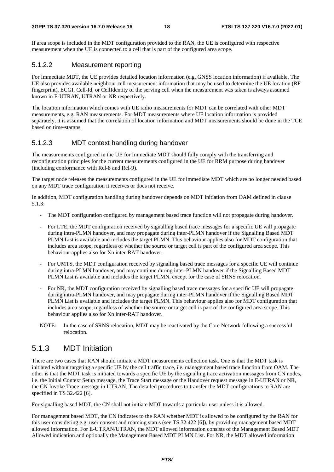If area scope is included in the MDT configuration provided to the RAN, the UE is configured with respective measurement when the UE is connected to a cell that is part of the configured area scope.

#### 5.1.2.2 Measurement reporting

For Immediate MDT, the UE provides detailed location information (e.g. GNSS location information) if available. The UE also provides available neighbour cell measurement information that may be used to determine the UE location (RF fingerprint). ECGI, Cell-Id, or CellIdentity of the serving cell when the measurement was taken is always assumed known in E-UTRAN, UTRAN or NR respectively.

The location information which comes with UE radio measurements for MDT can be correlated with other MDT measurements, e.g. RAN measurements. For MDT measurements where UE location information is provided separately, it is assumed that the correlation of location information and MDT measurements should be done in the TCE based on time-stamps.

### 5.1.2.3 MDT context handling during handover

The measurements configured in the UE for Immediate MDT should fully comply with the transferring and reconfiguration principles for the current measurements configured in the UE for RRM purpose during handover (including conformance with Rel-8 and Rel-9).

The target node releases the measurements configured in the UE for immediate MDT which are no longer needed based on any MDT trace configuration it receives or does not receive.

In addition, MDT configuration handling during handover depends on MDT initiation from OAM defined in clause 5.1.3:

- The MDT configuration configured by management based trace function will not propagate during handover.
- For LTE, the MDT configuration received by signalling based trace messages for a specific UE will propagate during intra-PLMN handover, and may propagate during inter-PLMN handover if the Signalling Based MDT PLMN List is available and includes the target PLMN. This behaviour applies also for MDT configuration that includes area scope, regardless of whether the source or target cell is part of the configured area scope. This behaviour applies also for Xn inter-RAT handover.
- For UMTS, the MDT configuration received by signalling based trace messages for a specific UE will continue during intra-PLMN handover, and may continue during inter-PLMN handover if the Signalling Based MDT PLMN List is available and includes the target PLMN, except for the case of SRNS relocation.
- For NR, the MDT configuration received by signalling based trace messages for a specific UE will propagate during intra-PLMN handover, and may propagate during inter-PLMN handover if the Signalling Based MDT PLMN List is available and includes the target PLMN. This behaviour applies also for MDT configuration that includes area scope, regardless of whether the source or target cell is part of the configured area scope. This behaviour applies also for Xn inter-RAT handover.
- NOTE: In the case of SRNS relocation, MDT may be reactivated by the Core Network following a successful relocation.

## 5.1.3 MDT Initiation

There are two cases that RAN should initiate a MDT measurements collection task. One is that the MDT task is initiated without targeting a specific UE by the cell traffic trace, i.e. management based trace function from OAM. The other is that the MDT task is initiated towards a specific UE by the signalling trace activation messages from CN nodes, i.e. the Initial Context Setup message, the Trace Start message or the Handover request message in E-UTRAN or NR, the CN Invoke Trace message in UTRAN. The detailed procedures to transfer the MDT configurations to RAN are specified in TS 32.422 [6].

For signalling based MDT, the CN shall not initiate MDT towards a particular user unless it is allowed.

For management based MDT, the CN indicates to the RAN whether MDT is allowed to be configured by the RAN for this user considering e.g. user consent and roaming status (see TS 32.422 [6]), by providing management based MDT allowed information. For E-UTRAN/UTRAN, the MDT allowed information consists of the Management Based MDT Allowed indication and optionally the Management Based MDT PLMN List. For NR, the MDT allowed information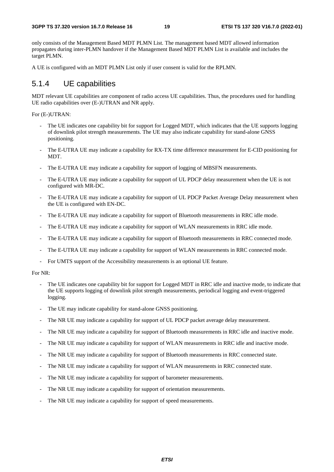only consists of the Management Based MDT PLMN List. The management based MDT allowed information propagates during inter-PLMN handover if the Management Based MDT PLMN List is available and includes the target PLMN.

A UE is configured with an MDT PLMN List only if user consent is valid for the RPLMN.

### 5.1.4 UE capabilities

MDT relevant UE capabilities are component of radio access UE capabilities. Thus, the procedures used for handling UE radio capabilities over (E-)UTRAN and NR apply.

For (E-)UTRAN:

- The UE indicates one capability bit for support for Logged MDT, which indicates that the UE supports logging of downlink pilot strength measurements. The UE may also indicate capability for stand-alone GNSS positioning.
- The E-UTRA UE may indicate a capability for RX-TX time difference measurement for E-CID positioning for MDT.
- The E-UTRA UE may indicate a capability for support of logging of MBSFN measurements.
- The E-UTRA UE may indicate a capability for support of UL PDCP delay measurement when the UE is not configured with MR-DC.
- The E-UTRA UE may indicate a capability for support of UL PDCP Packet Average Delay measurement when the UE is configured with EN-DC.
- The E-UTRA UE may indicate a capability for support of Bluetooth measurements in RRC idle mode.
- The E-UTRA UE may indicate a capability for support of WLAN measurements in RRC idle mode.
- The E-UTRA UE may indicate a capability for support of Bluetooth measurements in RRC connected mode.
- The E-UTRA UE may indicate a capability for support of WLAN measurements in RRC connected mode.
- For UMTS support of the Accessibility measurements is an optional UE feature.

For NR:

- The UE indicates one capability bit for support for Logged MDT in RRC idle and inactive mode, to indicate that the UE supports logging of downlink pilot strength measurements, periodical logging and event-triggered logging.
- The UE may indicate capability for stand-alone GNSS positioning.
- The NR UE may indicate a capability for support of UL PDCP packet average delay measurement.
- The NR UE may indicate a capability for support of Bluetooth measurements in RRC idle and inactive mode.
- The NR UE may indicate a capability for support of WLAN measurements in RRC idle and inactive mode.
- The NR UE may indicate a capability for support of Bluetooth measurements in RRC connected state.
- The NR UE may indicate a capability for support of WLAN measurements in RRC connected state.
- The NR UE may indicate a capability for support of barometer measurements.
- The NR UE may indicate a capability for support of orientation measurements.
- The NR UE may indicate a capability for support of speed measurements.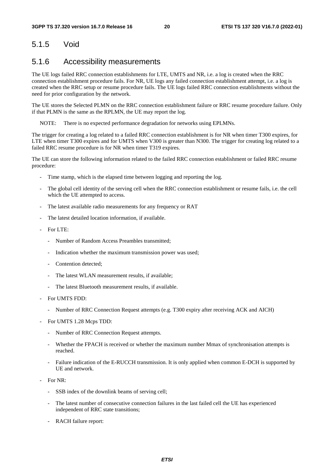# 5.1.5 Void

### 5.1.6 Accessibility measurements

The UE logs failed RRC connection establishments for LTE, UMTS and NR, i.e. a log is created when the RRC connection establishment procedure fails. For NR, UE logs any failed connection establishment attempt, i.e. a log is created when the RRC setup or resume procedure fails. The UE logs failed RRC connection establishments without the need for prior configuration by the network.

The UE stores the Selected PLMN on the RRC connection establishment failure or RRC resume procedure failure. Only if that PLMN is the same as the RPLMN, the UE may report the log.

NOTE: There is no expected performance degradation for networks using EPLMNs.

The trigger for creating a log related to a failed RRC connection establishment is for NR when timer T300 expires, for LTE when timer T300 expires and for UMTS when V300 is greater than N300. The trigger for creating log related to a failed RRC resume procedure is for NR when timer T319 expires.

The UE can store the following information related to the failed RRC connection establishment or failed RRC resume procedure:

- Time stamp, which is the elapsed time between logging and reporting the log.
- The global cell identity of the serving cell when the RRC connection establishment or resume fails, i.e. the cell which the UE attempted to access.
- The latest available radio measurements for any frequency or RAT
- The latest detailed location information, if available.
- For LTE:
	- Number of Random Access Preambles transmitted;
	- Indication whether the maximum transmission power was used;
	- Contention detected:
	- The latest WLAN measurement results, if available;
	- The latest Bluetooth measurement results, if available.
- For UMTS FDD:
	- Number of RRC Connection Request attempts (e.g. T300 expiry after receiving ACK and AICH)
- For UMTS 1.28 Mcps TDD:
	- Number of RRC Connection Request attempts.
	- Whether the FPACH is received or whether the maximum number Mmax of synchronisation attempts is reached.
	- Failure indication of the E-RUCCH transmission. It is only applied when common E-DCH is supported by UE and network.
- For NR:
	- SSB index of the downlink beams of serving cell;
	- The latest number of consecutive connection failures in the last failed cell the UE has experienced independent of RRC state transitions;
	- RACH failure report: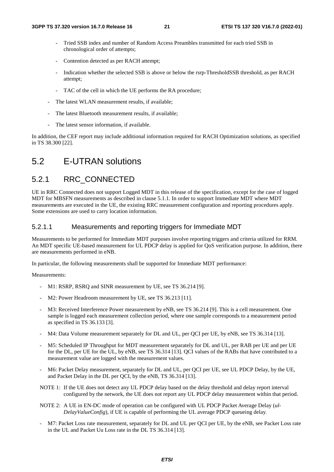- Tried SSB index and number of Random Access Preambles transmitted for each tried SSB in chronological order of attempts;
- Contention detected as per RACH attempt;
- Indication whether the selected SSB is above or below the rsrp-ThresholdSSB threshold, as per RACH attempt;
- TAC of the cell in which the UE performs the RA procedure;
- The latest WLAN measurement results, if available;
- The latest Bluetooth measurement results, if available;
- The latest sensor information, if available.

In addition, the CEF report may include additional information required for RACH Optimization solutions, as specified in TS 38.300 [22].

# 5.2 E-UTRAN solutions

## 5.2.1 RRC\_CONNECTED

UE in RRC Connected does not support Logged MDT in this release of the specification, except for the case of logged MDT for MBSFN measurements as described in clause 5.1.1. In order to support Immediate MDT where MDT measurements are executed in the UE, the existing RRC measurement configuration and reporting procedures apply. Some extensions are used to carry location information.

#### 5.2.1.1 Measurements and reporting triggers for Immediate MDT

Measurements to be performed for Immediate MDT purposes involve reporting triggers and criteria utilized for RRM. An MDT specific UE-based measurement for UL PDCP delay is applied for QoS verification purpose. In addition, there are measurements performed in eNB.

In particular, the following measurements shall be supported for Immediate MDT performance:

Measurements:

- M1: RSRP, RSRQ and SINR measurement by UE, see TS 36.214 [9].
- M2: Power Headroom measurement by UE, see TS 36.213 [11].
- M3: Received Interference Power measurement by eNB, see TS 36.214 [9]. This is a cell measurement. One sample is logged each measurement collection period, where one sample corresponds to a measurement period as specified in TS 36.133 [3].
- M4: Data Volume measurement separately for DL and UL, per QCI per UE, by eNB, see TS 36.314 [13].
- M5: Scheduled IP Throughput for MDT measurement separately for DL and UL, per RAB per UE and per UE for the DL, per UE for the UL, by eNB, see TS 36.314 [13]. QCI values of the RABs that have contributed to a measurement value are logged with the measurement values.
- M6: Packet Delay measurement, separately for DL and UL, per QCI per UE, see UL PDCP Delay, by the UE, and Packet Delay in the DL per QCI, by the eNB, TS 36.314 [13].
- NOTE 1: If the UE does not detect any UL PDCP delay based on the delay threshold and delay report interval configured by the network, the UE does not report any UL PDCP delay measurement within that period.
- NOTE 2: A UE in EN-DC mode of operation can be configured with UL PDCP Packet Average Delay (*ul-DelayValueConfig*), if UE is capable of performing the UL average PDCP queueing delay.
- M7: Packet Loss rate measurement, separately for DL and UL per QCI per UE, by the eNB, see Packet Loss rate in the UL and Packet Uu Loss rate in the DL TS 36.314 [13].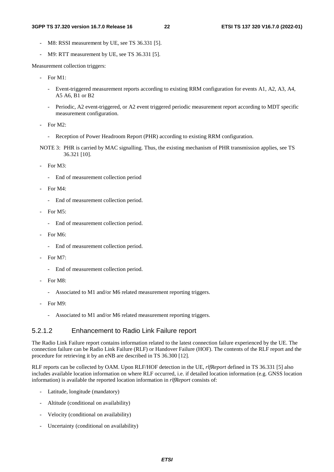- M8: RSSI measurement by UE, see TS 36.331 [5].
- M9: RTT measurement by UE, see TS 36.331 [5].

Measurement collection triggers:

- For M1:
	- Event-triggered measurement reports according to existing RRM configuration for events A1, A2, A3, A4, A5 A6, B1 or B2
	- Periodic, A2 event-triggered, or A2 event triggered periodic measurement report according to MDT specific measurement configuration.
- For  $M2$ .
	- Reception of Power Headroom Report (PHR) according to existing RRM configuration.
- NOTE 3: PHR is carried by MAC signalling. Thus, the existing mechanism of PHR transmission applies, see TS 36.321 [10].
- For M3:
	- End of measurement collection period
- For M4:
	- End of measurement collection period.
- For M5:
	- End of measurement collection period.
- For M6:
	- End of measurement collection period.
- For M7:
	- End of measurement collection period.
- $-$  For M8 $\cdot$ 
	- Associated to M1 and/or M6 related measurement reporting triggers.
- For M9:
	- Associated to M1 and/or M6 related measurement reporting triggers.

#### 5.2.1.2 Enhancement to Radio Link Failure report

The Radio Link Failure report contains information related to the latest connection failure experienced by the UE. The connection failure can be Radio Link Failure (RLF) or Handover Failure (HOF). The contents of the RLF report and the procedure for retrieving it by an eNB are described in TS 36.300 [12].

RLF reports can be collected by OAM. Upon RLF/HOF detection in the UE, *rlfReport* defined in TS 36.331 [5] also includes available location information on where RLF occurred, i.e. if detailed location information (e.g. GNSS location information) is available the reported location information in *rlfReport* consists of:

- Latitude, longitude (mandatory)
- Altitude (conditional on availability)
- Velocity (conditional on availability)
- Uncertainty (conditional on availability)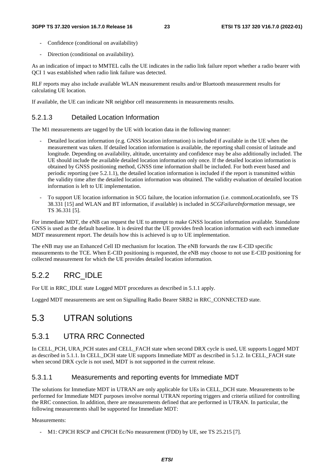- Confidence (conditional on availability)
- Direction (conditional on availability).

As an indication of impact to MMTEL calls the UE indicates in the radio link failure report whether a radio bearer with QCI 1 was established when radio link failure was detected.

RLF reports may also include available WLAN measurement results and/or Bluetooth measurement results for calculating UE location.

If available, the UE can indicate NR neighbor cell measurements in measurements results.

#### 5.2.1.3 Detailed Location Information

The M1 measurements are tagged by the UE with location data in the following manner:

- Detailed location information (e.g. GNSS location information) is included if available in the UE when the measurement was taken. If detailed location information is available, the reporting shall consist of latitude and longitude. Depending on availability, altitude, uncertainty and confidence may be also additionally included. The UE should include the available detailed location information only once. If the detailed location information is obtained by GNSS positioning method, GNSS time information shall be included. For both event based and periodic reporting (see 5.2.1.1), the detailed location information is included if the report is transmitted within the validity time after the detailed location information was obtained. The validity evaluation of detailed location information is left to UE implementation.
- To support UE location information in SCG failure, the location information (i.e. commonLocationInfo, see TS 38.331 [15] and WLAN and BT information, if available) is included in *SCGFailureInformation* message, see TS 36.331 [5].

For immediate MDT, the eNB can request the UE to attempt to make GNSS location information available. Standalone GNSS is used as the default baseline. It is desired that the UE provides fresh location information with each immediate MDT measurement report. The details how this is achieved is up to UE implementation.

The eNB may use an Enhanced Cell ID mechanism for location. The eNB forwards the raw E-CID specific measurements to the TCE. When E-CID positioning is requested, the eNB may choose to not use E-CID positioning for collected measurement for which the UE provides detailed location information.

### 5.2.2 RRC\_IDLE

For UE in RRC\_IDLE state Logged MDT procedures as described in 5.1.1 apply.

Logged MDT measurements are sent on Signalling Radio Bearer SRB2 in RRC\_CONNECTED state.

# 5.3 UTRAN solutions

### 5.3.1 UTRA RRC Connected

In CELL PCH, URA PCH states and CELL FACH state when second DRX cycle is used, UE supports Logged MDT as described in 5.1.1. In CELL\_DCH state UE supports Immediate MDT as described in 5.1.2. In CELL\_FACH state when second DRX cycle is not used, MDT is not supported in the current release.

#### 5.3.1.1 Measurements and reporting events for Immediate MDT

The solutions for Immediate MDT in UTRAN are only applicable for UEs in CELL\_DCH state. Measurements to be performed for Immediate MDT purposes involve normal UTRAN reporting triggers and criteria utilized for controlling the RRC connection. In addition, there are measurements defined that are performed in UTRAN. In particular, the following measurements shall be supported for Immediate MDT:

Measurements:

- M1: CPICH RSCP and CPICH Ec/No measurement (FDD) by UE, see TS 25.215 [7].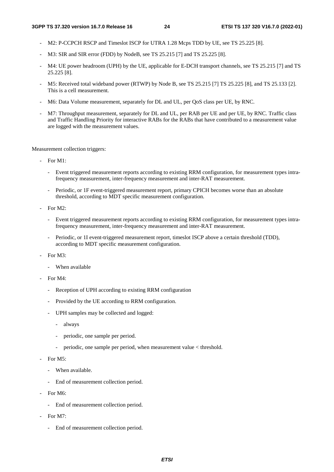- M2: P-CCPCH RSCP and Timeslot ISCP for UTRA 1.28 Mcps TDD by UE, see TS 25.225 [8].
- M3: SIR and SIR error (FDD) by NodeB, see TS 25.215 [7] and TS 25.225 [8].
- M4: UE power headroom (UPH) by the UE, applicable for E-DCH transport channels, see TS 25.215 [7] and TS 25.225 [8].
- M5: Received total wideband power (RTWP) by Node B, see TS 25.215 [7] TS 25.225 [8], and TS 25.133 [2]. This is a cell measurement.
- M6: Data Volume measurement, separately for DL and UL, per QoS class per UE, by RNC.
- M7: Throughput measurement, separately for DL and UL, per RAB per UE and per UE, by RNC. Traffic class and Traffic Handling Priority for interactive RABs for the RABs that have contributed to a measurement value are logged with the measurement values.

Measurement collection triggers:

- For M1:
	- Event triggered measurement reports according to existing RRM configuration, for measurement types intrafrequency measurement, inter-frequency measurement and inter-RAT measurement.
	- Periodic, or 1F event-triggered measurement report, primary CPICH becomes worse than an absolute threshold, according to MDT specific measurement configuration.
- For M2:
	- Event triggered measurement reports according to existing RRM configuration, for measurement types intrafrequency measurement, inter-frequency measurement and inter-RAT measurement.
	- Periodic, or 1I event-triggered measurement report, timeslot ISCP above a certain threshold (TDD), according to MDT specific measurement configuration.
- For M3:
	- When available
- For M4:
	- Reception of UPH according to existing RRM configuration
	- Provided by the UE according to RRM configuration.
	- UPH samples may be collected and logged:
		- always
		- periodic, one sample per period.
		- periodic, one sample per period, when measurement value  $\lt$  threshold.
- For M5:
	- When available.
	- End of measurement collection period.
- For M6:
	- End of measurement collection period.
- For M7:
	- End of measurement collection period.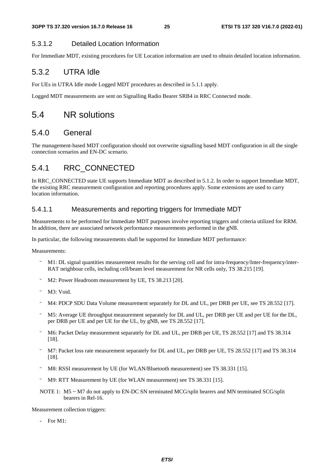### 5.3.1.2 Detailed Location Information

For Immediate MDT, existing procedures for UE Location information are used to obtain detailed location information.

# 5.3.2 UTRA Idle

For UEs in UTRA Idle mode Logged MDT procedures as described in 5.1.1 apply.

Logged MDT measurements are sent on Signalling Radio Bearer SRB4 in RRC Connected mode.

# 5.4 NR solutions

### 5.4.0 General

The management-based MDT configuration should not overwrite signalling based MDT configuration in all the single connection scenarios and EN-DC scenario.

# 5.4.1 RRC\_CONNECTED

In RRC\_CONNECTED state UE supports Immediate MDT as described in 5.1.2. In order to support Immediate MDT, the existing RRC measurement configuration and reporting procedures apply. Some extensions are used to carry location information.

### 5.4.1.1 Measurements and reporting triggers for Immediate MDT

Measurements to be performed for Immediate MDT purposes involve reporting triggers and criteria utilized for RRM. In addition, there are associated network performance measurements performed in the gNB.

In particular, the following measurements shall be supported for Immediate MDT performance:

Measurements:

- RAT neighbour cells, including cell/beam level measurement for NR cells only, TS 38.215 [19].
- 
- 
- 
- M1: DL signal quantities measurement results for the serving cell and for intra-frequency/Inter-RAT neighbour cells, including cell/beam level measurement for NR cells only, TS 38.215 [19].<br>
M2: Power Headroom measurement M2: Power Headroom measurement by UE, TS 38.213 [20].<br>
M3: Void.<br>
M4: PDCP SDU Data Volume measurement separately for DL<br>
M5: Average UE throughput measurement separately for DL<br>
per DRB per UE and per UE for the UL, by gN - M3: Void.<br>- M4: PDCP<br>- M5: Avera<br>per DRB p<br>- M6: Packe<br>[18].<br>- M7: Packe<br>[18].<br>- M8: RSSI<br>- M9: RTT M9: RTT MOTE 1: M5<br>bear M4: PDCP SDU Data Volume measurement separately for DL and UL, per DRB per UE, see TS 28.552 [17].<br>
M5: Average UE throughput measurement separately for DL and UL, per DRB per UE and per UE for the DL<br>
per DRB per UE and p per DRB per UE and per UE for the UL, by gNB, see TS 28.552 [17].
- [18].
- M5: Average UE throughput measurement separately for DL and UL, per DRB per UE and per UE for the DL,<br>
per DRB per UE and per UE for the UL, by gNB, see TS 28.552 [17].<br>
M6: Packet Delay measurement separately for DL and U M6: Packet Delay measurement separately for DL and UL, per DRB per UE, TS 28.552 [17] and TS 38.314<br>
18].<br>
M7: Packet loss rate measurement separately for DL and UL, per DRB per UE, TS 28.552 [17] and TS 38.31<br>
18.<br>
M8: RS M7: Packet loss rate measurement separately for DL and UL, per DRB per UE, TS 28.552 [17] and TS 38.314 [18].<br>
18. RSSI measurement by UE (for WLAN/Bluetooth measurement) see TS 38.331 [15].<br>
19: RTT Measurement by UE (for [18].
- 
- 
- M8: RSSI measurement by UE (for WLAN/Bluetooth measurement) see TS 38.331 [15].<br>
TM9: RTT Measurement by UE (for WLAN measurement) see TS 38.331 [15].<br>
NOTE 1: M5 ~ M7 do not apply to EN-DC SN terminated MCG/split bearers M9: RTT Measurement by UE (for WLAN measurement) see TS 38.331 [15].<br>
MOTE 1: M5 ~ M7 do not apply to EN-DC SN terminated MCG/split bearers and<br>
bearers in Rel-16.<br>
asurement collection triggers:<br>
For M1:<br> **ETSI** NOTE 1: M5 ~ M7 do not apply to EN-DC SN terminated MCG/split bearers and MN terminated SCG/split bearers in Rel-16.

Measurement collection triggers:

- For M1: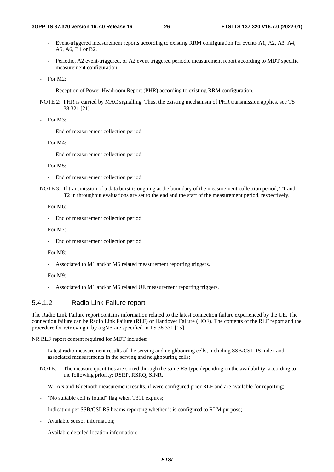- Event-triggered measurement reports according to existing RRM configuration for events A1, A2, A3, A4, A5, A6, B1 or B2.
- Periodic, A2 event-triggered, or A2 event triggered periodic measurement report according to MDT specific measurement configuration.
- For M2:
	- Reception of Power Headroom Report (PHR) according to existing RRM configuration.
- NOTE 2: PHR is carried by MAC signalling. Thus, the existing mechanism of PHR transmission applies, see TS 38.321 [21].
- For M3:
	- End of measurement collection period.
- For M4:
	- End of measurement collection period.
- For M5:
	- End of measurement collection period.
- NOTE 3: If transmission of a data burst is ongoing at the boundary of the measurement collection period, T1 and T2 in throughput evaluations are set to the end and the start of the measurement period, respectively.
- For M6:
	- End of measurement collection period.
- For M7:
	- End of measurement collection period.
- $For M8$ 
	- Associated to M1 and/or M6 related measurement reporting triggers.
- For M9:
	- Associated to M1 and/or M6 related UE measurement reporting triggers.

#### 5.4.1.2 Radio Link Failure report

The Radio Link Failure report contains information related to the latest connection failure experienced by the UE. The connection failure can be Radio Link Failure (RLF) or Handover Failure (HOF). The contents of the RLF report and the procedure for retrieving it by a gNB are specified in TS 38.331 [15].

NR RLF report content required for MDT includes:

- Latest radio measurement results of the serving and neighbouring cells, including SSB/CSI-RS index and associated measurements in the serving and neighbouring cells;
- NOTE: The measure quantities are sorted through the same RS type depending on the availability, according to the following priority: RSRP, RSRQ, SINR.
- WLAN and Bluetooth measurement results, if were configured prior RLF and are available for reporting;
- "No suitable cell is found" flag when T311 expires;
- Indication per SSB/CSI-RS beams reporting whether it is configured to RLM purpose;
- Available sensor information;
- Available detailed location information;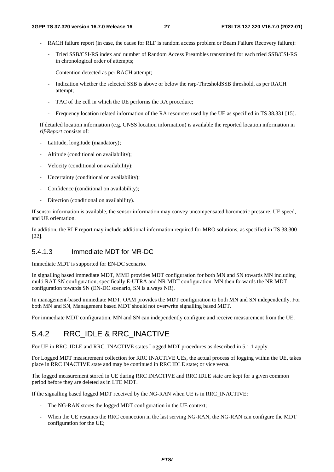- RACH failure report (in case, the cause for RLF is random access problem or Beam Failure Recovery failure):
	- Tried SSB/CSI-RS index and number of Random Access Preambles transmitted for each tried SSB/CSI-RS in chronological order of attempts;

Contention detected as per RACH attempt;

- Indication whether the selected SSB is above or below the rsrp-ThresholdSSB threshold, as per RACH attempt;
- TAC of the cell in which the UE performs the RA procedure;
- Frequency location related information of the RA resources used by the UE as specified in TS 38.331 [15].

If detailed location information (e.g. GNSS location information) is available the reported location information in *rlf-Report* consists of:

- Latitude, longitude (mandatory);
- Altitude (conditional on availability);
- Velocity (conditional on availability);
- Uncertainty (conditional on availability);
- Confidence (conditional on availability);
- Direction (conditional on availability).

If sensor information is available, the sensor information may convey uncompensated barometric pressure, UE speed, and UE orientation.

In addition, the RLF report may include additional information required for MRO solutions, as specified in TS 38.300 [22].

#### 5.4.1.3 Immediate MDT for MR-DC

Immediate MDT is supported for EN-DC scenario.

In signalling based immediate MDT, MME provides MDT configuration for both MN and SN towards MN including multi RAT SN configuration, specifically E-UTRA and NR MDT configuration. MN then forwards the NR MDT configuration towards SN (EN-DC scenario, SN is always NR).

In management-based immediate MDT, OAM provides the MDT configuration to both MN and SN independently. For both MN and SN, Management based MDT should not overwrite signalling based MDT.

For immediate MDT configuration, MN and SN can independently configure and receive measurement from the UE.

### 5.4.2 RRC\_IDLE & RRC\_INACTIVE

For UE in RRC\_IDLE and RRC\_INACTIVE states Logged MDT procedures as described in 5.1.1 apply.

For Logged MDT measurement collection for RRC INACTIVE UEs, the actual process of logging within the UE, takes place in RRC INACTIVE state and may be continued in RRC IDLE state; or vice versa.

The logged measurement stored in UE during RRC INACTIVE and RRC IDLE state are kept for a given common period before they are deleted as in LTE MDT.

If the signalling based logged MDT received by the NG-RAN when UE is in RRC\_INACTIVE:

- The NG-RAN stores the logged MDT configuration in the UE context;
- When the UE resumes the RRC connection in the last serving NG-RAN, the NG-RAN can configure the MDT configuration for the UE;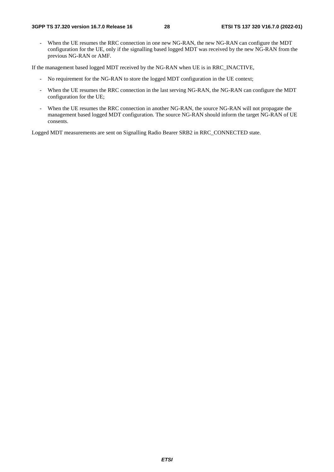- When the UE resumes the RRC connection in one new NG-RAN, the new NG-RAN can configure the MDT configuration for the UE, only if the signalling based logged MDT was received by the new NG-RAN from the previous NG-RAN or AMF.

If the management based logged MDT received by the NG-RAN when UE is in RRC\_INACTIVE,

- No requirement for the NG-RAN to store the logged MDT configuration in the UE context;
- When the UE resumes the RRC connection in the last serving NG-RAN, the NG-RAN can configure the MDT configuration for the UE;
- When the UE resumes the RRC connection in another NG-RAN, the source NG-RAN will not propagate the management based logged MDT configuration. The source NG-RAN should inform the target NG-RAN of UE consents.

Logged MDT measurements are sent on Signalling Radio Bearer SRB2 in RRC\_CONNECTED state.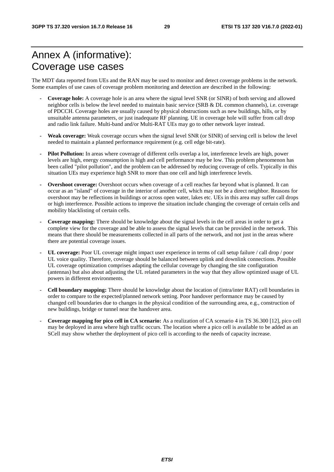# Annex A (informative): Coverage use cases

The MDT data reported from UEs and the RAN may be used to monitor and detect coverage problems in the network. Some examples of use cases of coverage problem monitoring and detection are described in the following:

- **Coverage hole:** A coverage hole is an area where the signal level SNR (or SINR) of both serving and allowed neighbor cells is below the level needed to maintain basic service (SRB & DL common channels), i.e. coverage of PDCCH. Coverage holes are usually caused by physical obstructions such as new buildings, hills, or by unsuitable antenna parameters, or just inadequate RF planning. UE in coverage hole will suffer from call drop and radio link failure. Multi-band and/or Multi-RAT UEs may go to other network layer instead.
- **Weak coverage:** Weak coverage occurs when the signal level SNR (or SINR) of serving cell is below the level needed to maintain a planned performance requirement (e.g. cell edge bit-rate).
- **Pilot Pollution:** In areas where coverage of different cells overlap a lot, interference levels are high, power levels are high, energy consumption is high and cell performance may be low. This problem phenomenon has been called "pilot pollution", and the problem can be addressed by reducing coverage of cells. Typically in this situation UEs may experience high SNR to more than one cell and high interference levels.
- **Overshoot coverage:** Overshoot occurs when coverage of a cell reaches far beyond what is planned. It can occur as an "island" of coverage in the interior of another cell, which may not be a direct neighbor. Reasons for overshoot may be reflections in buildings or across open water, lakes etc. UEs in this area may suffer call drops or high interference. Possible actions to improve the situation include changing the coverage of certain cells and mobility blacklisting of certain cells.
- **Coverage mapping:** There should be knowledge about the signal levels in the cell areas in order to get a complete view for the coverage and be able to assess the signal levels that can be provided in the network. This means that there should be measurements collected in all parts of the network, and not just in the areas where there are potential coverage issues.
- **UL coverage:** Poor UL coverage might impact user experience in terms of call setup failure / call drop / poor UL voice quality. Therefore, coverage should be balanced between uplink and downlink connections. Possible UL coverage optimization comprises adapting the cellular coverage by changing the site configuration (antennas) but also about adjusting the UL related parameters in the way that they allow optimized usage of UL powers in different environments.
- **Cell boundary mapping:** There should be knowledge about the location of (intra/inter RAT) cell boundaries in order to compare to the expected/planned network setting. Poor handover performance may be caused by changed cell boundaries due to changes in the physical condition of the surrounding area, e.g., construction of new buildings, bridge or tunnel near the handover area.
- **Coverage mapping for pico cell in CA scenario:** As a realization of CA scenario 4 in TS 36.300 [12], pico cell may be deployed in area where high traffic occurs. The location where a pico cell is available to be added as an SCell may show whether the deployment of pico cell is according to the needs of capacity increase.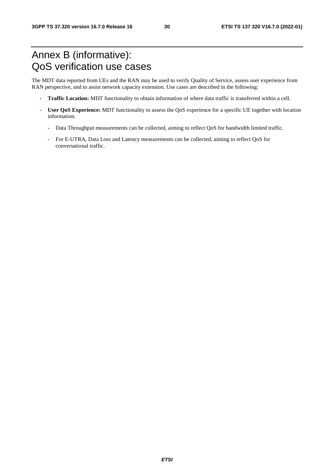# Annex B (informative): QoS verification use cases

The MDT data reported from UEs and the RAN may be used to verify Quality of Service, assess user experience from RAN perspective, and to assist network capacity extension. Use cases are described in the following:

- **Traffic Location:** MDT functionality to obtain information of where data traffic is transferred within a cell.
- **User QoS Experience:** MDT functionality to assess the QoS experience for a specific UE together with location information.
	- Data Throughput measurements can be collected, aiming to reflect QoS for bandwidth limited traffic.
	- For E-UTRA, Data Loss and Latency measurements can be collected, aiming to reflect QoS for conversational traffic.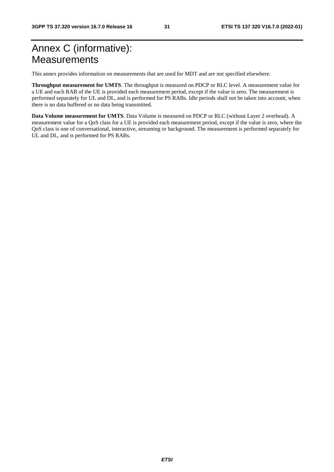# Annex C (informative): **Measurements**

This annex provides information on measurements that are used for MDT and are not specified elsewhere.

**Throughput measurement for UMTS**. The throughput is measured on PDCP or RLC level. A measurement value for a UE and each RAB of the UE is provided each measurement period, except if the value is zero. The measurement is performed separately for UL and DL, and is performed for PS RABs. Idle periods shall not be taken into account, when there is no data buffered or no data being transmitted.

**Data Volume measurement for UMTS**. Data Volume is measured on PDCP or RLC (without Layer 2 overhead). A measurement value for a QoS class for a UE is provided each measurement period, except if the value is zero, where the QoS class is one of conversational, interactive, streaming or background. The measurement is performed separately for UL and DL, and is performed for PS RABs.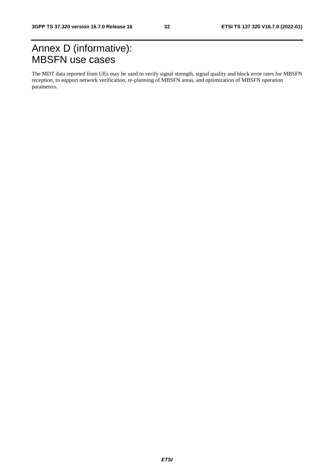# Annex D (informative): MBSFN use cases

The MDT data reported from UEs may be used to verify signal strength, signal quality and block error rates for MBSFN reception, to support network verification, re-planning of MBSFN areas, and optimization of MBSFN operation parameters.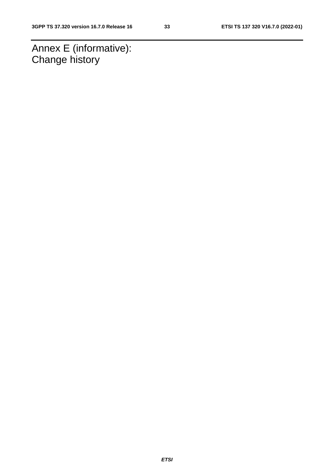Annex E (informative): Change history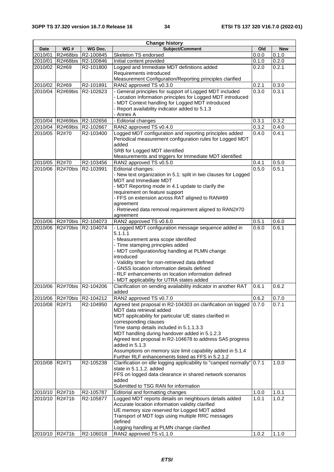| <b>Date</b><br>Old<br><b>New</b><br>2010/01<br>R2#68bis<br>R2-100845<br>Skeleton TS endorsed<br>0.0.0<br>0.1.0<br>0.2.0<br>2010/01<br>R2#68bis<br>R2-100846<br>0.1.0<br>Initial content provided<br>Logged and Immediate MDT definitions added<br>0.2.1<br>2010/02<br>R2#69<br>R2-101800<br>0.2.0<br>Requirements introduced<br>Measurement Configuration/Reporting principles clarified<br>RAN2 approved TS v0.3.0<br>0.3.0<br>2010/02 R2#69<br>R2-101891<br>0.2.1<br>2010/04<br>- General principles for support of Logged MDT included<br>0.3.0<br>0.3.1<br>R2#69bis<br>R2-102623<br>- Location Information principles for Logged MDT introduced<br>- MDT Context handling for Logged MDT introduced<br>- Report availability indicator added to 5.1.3<br>- Annex A<br>- Editorial changes<br>0.3.2<br>2010/04<br>R2#69bis<br>R2-102656<br>0.3.1<br>2010/04<br>R2-102667<br>RAN2 approved TS v0.4.0<br>0.3.2<br>0.4.0<br>R2#69bis<br>Logged MDT configuration and reporting principles added<br>0.4.1<br>2010/05<br>R2#70<br>R2-103400<br>0.4.0<br>Periodical measurement configuration rules for Logged MDT<br>added<br>SRB for Logged MDT identified<br>Measurements and triggers for Immediate MDT identified<br>RAN2 approved TS v0.5.0<br>0.5.0<br>2010/05<br>R2#70<br>R2-103456<br>0.4.1<br>Editorial changes:<br>0.5.0<br>0.5.1<br>2010/06<br>R <sub>2</sub> #70bis<br>R2-103991<br>- New text organization in 5.1: split in two clauses for Logged<br><b>MDT</b> and Immediate MDT<br>- MDT Reporting mode in 4.1 update to clarify the<br>requirement on feature support<br>- FFS on extension across RAT aligned to RAN#69<br>agreement<br>- Retrieved data removal requirement aligned to RAN2#70<br>agreement<br>2010/06<br>0.5.1<br>R2#70bis R2-104073<br>RAN2 approved TS v0.6.0<br>0.6.0<br>- Logged MDT configuration message sequence added in<br>R2-104074<br>0.6.0<br>0.6.1<br>2010/06<br>R <sub>2</sub> #70bis<br>5.1.1.1<br>- Measurement area scope identified<br>- Time stamping principles added<br>- MDT configuration/log handling at PLMN change<br>introduced<br>- Validity timer for non-retrieved data defined<br>- GNSS location information details defined<br>- RLF enhancements on location information defined<br>- MDT applicability for UTRA states added<br>Clarification on sending availability indicator in another RAT<br>0.6.2<br>2010/06<br>R2#70bis R2-104206<br>0.6.1<br>added<br>0.6.2<br>2010/06<br>R2#70bis R2-104212<br>0.7.0<br>RAN2 approved TS v0.7.0<br>0.7.1<br>2010/08<br>R2#71<br>R2-104950<br>Agreed text proposal in R2-104303 on clarification on logged<br>0.7.0<br>MDT data retrieval added<br>MDT applicability for particular UE states clarified in<br>corresponding clauses<br>Time stamp details included in 5.1.1.3.3<br>MDT handling during handover added in 5.1.2.3<br>Agreed text proposal in R2-104678 to address SA5 progress<br>added in 5.1.3<br>Assumptions on memory size limit capability added in 5.1.4<br>Further RLF enhancements listed as FFS in 5.2.1.2<br>R2-105238<br>Clarification on idle logging applicability to "camped normally"<br>0.7.1<br>1.0.0<br>2010/08<br>R2#71<br>state in 5.1.1.2. added<br>FFS on logged data clearance in shared network scenarios<br>added<br>Submitted to TSG RAN for information<br>2010/10 R2#71b<br>R2-105787<br>Editorial and formatting changes<br>1.0.0<br>1.0.1<br>Logged MDT reports details on neighbours details added<br>2010/10<br>R2#71b<br>R2-105877<br>1.0.1<br>1.0.2<br>Accurate location information validity clarified<br>UE memory size reserved for Logged MDT added<br>Transport of MDT logs using multiple RRC messages<br>defined<br>Logging handling at PLMN change clarified<br>2010/10 R2#71b | <b>Change history</b> |     |           |                         |       |       |  |
|------------------------------------------------------------------------------------------------------------------------------------------------------------------------------------------------------------------------------------------------------------------------------------------------------------------------------------------------------------------------------------------------------------------------------------------------------------------------------------------------------------------------------------------------------------------------------------------------------------------------------------------------------------------------------------------------------------------------------------------------------------------------------------------------------------------------------------------------------------------------------------------------------------------------------------------------------------------------------------------------------------------------------------------------------------------------------------------------------------------------------------------------------------------------------------------------------------------------------------------------------------------------------------------------------------------------------------------------------------------------------------------------------------------------------------------------------------------------------------------------------------------------------------------------------------------------------------------------------------------------------------------------------------------------------------------------------------------------------------------------------------------------------------------------------------------------------------------------------------------------------------------------------------------------------------------------------------------------------------------------------------------------------------------------------------------------------------------------------------------------------------------------------------------------------------------------------------------------------------------------------------------------------------------------------------------------------------------------------------------------------------------------------------------------------------------------------------------------------------------------------------------------------------------------------------------------------------------------------------------------------------------------------------------------------------------------------------------------------------------------------------------------------------------------------------------------------------------------------------------------------------------------------------------------------------------------------------------------------------------------------------------------------------------------------------------------------------------------------------------------------------------------------------------------------------------------------------------------------------------------------------------------------------------------------------------------------------------------------------------------------------------------------------------------------------------------------------------------------------------------------------------------------------------------------------------------------------------------------------------------------------------------------------------------------------------------------------------------------------------------------|-----------------------|-----|-----------|-------------------------|-------|-------|--|
|                                                                                                                                                                                                                                                                                                                                                                                                                                                                                                                                                                                                                                                                                                                                                                                                                                                                                                                                                                                                                                                                                                                                                                                                                                                                                                                                                                                                                                                                                                                                                                                                                                                                                                                                                                                                                                                                                                                                                                                                                                                                                                                                                                                                                                                                                                                                                                                                                                                                                                                                                                                                                                                                                                                                                                                                                                                                                                                                                                                                                                                                                                                                                                                                                                                                                                                                                                                                                                                                                                                                                                                                                                                                                                                                                      |                       | WG# | WG Doc.   | Subject/Comment         |       |       |  |
|                                                                                                                                                                                                                                                                                                                                                                                                                                                                                                                                                                                                                                                                                                                                                                                                                                                                                                                                                                                                                                                                                                                                                                                                                                                                                                                                                                                                                                                                                                                                                                                                                                                                                                                                                                                                                                                                                                                                                                                                                                                                                                                                                                                                                                                                                                                                                                                                                                                                                                                                                                                                                                                                                                                                                                                                                                                                                                                                                                                                                                                                                                                                                                                                                                                                                                                                                                                                                                                                                                                                                                                                                                                                                                                                                      |                       |     |           |                         |       |       |  |
|                                                                                                                                                                                                                                                                                                                                                                                                                                                                                                                                                                                                                                                                                                                                                                                                                                                                                                                                                                                                                                                                                                                                                                                                                                                                                                                                                                                                                                                                                                                                                                                                                                                                                                                                                                                                                                                                                                                                                                                                                                                                                                                                                                                                                                                                                                                                                                                                                                                                                                                                                                                                                                                                                                                                                                                                                                                                                                                                                                                                                                                                                                                                                                                                                                                                                                                                                                                                                                                                                                                                                                                                                                                                                                                                                      |                       |     |           |                         |       |       |  |
|                                                                                                                                                                                                                                                                                                                                                                                                                                                                                                                                                                                                                                                                                                                                                                                                                                                                                                                                                                                                                                                                                                                                                                                                                                                                                                                                                                                                                                                                                                                                                                                                                                                                                                                                                                                                                                                                                                                                                                                                                                                                                                                                                                                                                                                                                                                                                                                                                                                                                                                                                                                                                                                                                                                                                                                                                                                                                                                                                                                                                                                                                                                                                                                                                                                                                                                                                                                                                                                                                                                                                                                                                                                                                                                                                      |                       |     |           |                         |       |       |  |
|                                                                                                                                                                                                                                                                                                                                                                                                                                                                                                                                                                                                                                                                                                                                                                                                                                                                                                                                                                                                                                                                                                                                                                                                                                                                                                                                                                                                                                                                                                                                                                                                                                                                                                                                                                                                                                                                                                                                                                                                                                                                                                                                                                                                                                                                                                                                                                                                                                                                                                                                                                                                                                                                                                                                                                                                                                                                                                                                                                                                                                                                                                                                                                                                                                                                                                                                                                                                                                                                                                                                                                                                                                                                                                                                                      |                       |     |           |                         |       |       |  |
|                                                                                                                                                                                                                                                                                                                                                                                                                                                                                                                                                                                                                                                                                                                                                                                                                                                                                                                                                                                                                                                                                                                                                                                                                                                                                                                                                                                                                                                                                                                                                                                                                                                                                                                                                                                                                                                                                                                                                                                                                                                                                                                                                                                                                                                                                                                                                                                                                                                                                                                                                                                                                                                                                                                                                                                                                                                                                                                                                                                                                                                                                                                                                                                                                                                                                                                                                                                                                                                                                                                                                                                                                                                                                                                                                      |                       |     |           |                         |       |       |  |
|                                                                                                                                                                                                                                                                                                                                                                                                                                                                                                                                                                                                                                                                                                                                                                                                                                                                                                                                                                                                                                                                                                                                                                                                                                                                                                                                                                                                                                                                                                                                                                                                                                                                                                                                                                                                                                                                                                                                                                                                                                                                                                                                                                                                                                                                                                                                                                                                                                                                                                                                                                                                                                                                                                                                                                                                                                                                                                                                                                                                                                                                                                                                                                                                                                                                                                                                                                                                                                                                                                                                                                                                                                                                                                                                                      |                       |     |           |                         |       |       |  |
|                                                                                                                                                                                                                                                                                                                                                                                                                                                                                                                                                                                                                                                                                                                                                                                                                                                                                                                                                                                                                                                                                                                                                                                                                                                                                                                                                                                                                                                                                                                                                                                                                                                                                                                                                                                                                                                                                                                                                                                                                                                                                                                                                                                                                                                                                                                                                                                                                                                                                                                                                                                                                                                                                                                                                                                                                                                                                                                                                                                                                                                                                                                                                                                                                                                                                                                                                                                                                                                                                                                                                                                                                                                                                                                                                      |                       |     |           |                         |       |       |  |
|                                                                                                                                                                                                                                                                                                                                                                                                                                                                                                                                                                                                                                                                                                                                                                                                                                                                                                                                                                                                                                                                                                                                                                                                                                                                                                                                                                                                                                                                                                                                                                                                                                                                                                                                                                                                                                                                                                                                                                                                                                                                                                                                                                                                                                                                                                                                                                                                                                                                                                                                                                                                                                                                                                                                                                                                                                                                                                                                                                                                                                                                                                                                                                                                                                                                                                                                                                                                                                                                                                                                                                                                                                                                                                                                                      |                       |     |           |                         |       |       |  |
|                                                                                                                                                                                                                                                                                                                                                                                                                                                                                                                                                                                                                                                                                                                                                                                                                                                                                                                                                                                                                                                                                                                                                                                                                                                                                                                                                                                                                                                                                                                                                                                                                                                                                                                                                                                                                                                                                                                                                                                                                                                                                                                                                                                                                                                                                                                                                                                                                                                                                                                                                                                                                                                                                                                                                                                                                                                                                                                                                                                                                                                                                                                                                                                                                                                                                                                                                                                                                                                                                                                                                                                                                                                                                                                                                      |                       |     |           |                         |       |       |  |
|                                                                                                                                                                                                                                                                                                                                                                                                                                                                                                                                                                                                                                                                                                                                                                                                                                                                                                                                                                                                                                                                                                                                                                                                                                                                                                                                                                                                                                                                                                                                                                                                                                                                                                                                                                                                                                                                                                                                                                                                                                                                                                                                                                                                                                                                                                                                                                                                                                                                                                                                                                                                                                                                                                                                                                                                                                                                                                                                                                                                                                                                                                                                                                                                                                                                                                                                                                                                                                                                                                                                                                                                                                                                                                                                                      |                       |     |           |                         |       |       |  |
|                                                                                                                                                                                                                                                                                                                                                                                                                                                                                                                                                                                                                                                                                                                                                                                                                                                                                                                                                                                                                                                                                                                                                                                                                                                                                                                                                                                                                                                                                                                                                                                                                                                                                                                                                                                                                                                                                                                                                                                                                                                                                                                                                                                                                                                                                                                                                                                                                                                                                                                                                                                                                                                                                                                                                                                                                                                                                                                                                                                                                                                                                                                                                                                                                                                                                                                                                                                                                                                                                                                                                                                                                                                                                                                                                      |                       |     |           |                         |       |       |  |
|                                                                                                                                                                                                                                                                                                                                                                                                                                                                                                                                                                                                                                                                                                                                                                                                                                                                                                                                                                                                                                                                                                                                                                                                                                                                                                                                                                                                                                                                                                                                                                                                                                                                                                                                                                                                                                                                                                                                                                                                                                                                                                                                                                                                                                                                                                                                                                                                                                                                                                                                                                                                                                                                                                                                                                                                                                                                                                                                                                                                                                                                                                                                                                                                                                                                                                                                                                                                                                                                                                                                                                                                                                                                                                                                                      |                       |     |           |                         |       |       |  |
|                                                                                                                                                                                                                                                                                                                                                                                                                                                                                                                                                                                                                                                                                                                                                                                                                                                                                                                                                                                                                                                                                                                                                                                                                                                                                                                                                                                                                                                                                                                                                                                                                                                                                                                                                                                                                                                                                                                                                                                                                                                                                                                                                                                                                                                                                                                                                                                                                                                                                                                                                                                                                                                                                                                                                                                                                                                                                                                                                                                                                                                                                                                                                                                                                                                                                                                                                                                                                                                                                                                                                                                                                                                                                                                                                      |                       |     |           |                         |       |       |  |
|                                                                                                                                                                                                                                                                                                                                                                                                                                                                                                                                                                                                                                                                                                                                                                                                                                                                                                                                                                                                                                                                                                                                                                                                                                                                                                                                                                                                                                                                                                                                                                                                                                                                                                                                                                                                                                                                                                                                                                                                                                                                                                                                                                                                                                                                                                                                                                                                                                                                                                                                                                                                                                                                                                                                                                                                                                                                                                                                                                                                                                                                                                                                                                                                                                                                                                                                                                                                                                                                                                                                                                                                                                                                                                                                                      |                       |     |           |                         |       |       |  |
|                                                                                                                                                                                                                                                                                                                                                                                                                                                                                                                                                                                                                                                                                                                                                                                                                                                                                                                                                                                                                                                                                                                                                                                                                                                                                                                                                                                                                                                                                                                                                                                                                                                                                                                                                                                                                                                                                                                                                                                                                                                                                                                                                                                                                                                                                                                                                                                                                                                                                                                                                                                                                                                                                                                                                                                                                                                                                                                                                                                                                                                                                                                                                                                                                                                                                                                                                                                                                                                                                                                                                                                                                                                                                                                                                      |                       |     |           |                         |       |       |  |
|                                                                                                                                                                                                                                                                                                                                                                                                                                                                                                                                                                                                                                                                                                                                                                                                                                                                                                                                                                                                                                                                                                                                                                                                                                                                                                                                                                                                                                                                                                                                                                                                                                                                                                                                                                                                                                                                                                                                                                                                                                                                                                                                                                                                                                                                                                                                                                                                                                                                                                                                                                                                                                                                                                                                                                                                                                                                                                                                                                                                                                                                                                                                                                                                                                                                                                                                                                                                                                                                                                                                                                                                                                                                                                                                                      |                       |     |           |                         |       |       |  |
|                                                                                                                                                                                                                                                                                                                                                                                                                                                                                                                                                                                                                                                                                                                                                                                                                                                                                                                                                                                                                                                                                                                                                                                                                                                                                                                                                                                                                                                                                                                                                                                                                                                                                                                                                                                                                                                                                                                                                                                                                                                                                                                                                                                                                                                                                                                                                                                                                                                                                                                                                                                                                                                                                                                                                                                                                                                                                                                                                                                                                                                                                                                                                                                                                                                                                                                                                                                                                                                                                                                                                                                                                                                                                                                                                      |                       |     |           |                         |       |       |  |
|                                                                                                                                                                                                                                                                                                                                                                                                                                                                                                                                                                                                                                                                                                                                                                                                                                                                                                                                                                                                                                                                                                                                                                                                                                                                                                                                                                                                                                                                                                                                                                                                                                                                                                                                                                                                                                                                                                                                                                                                                                                                                                                                                                                                                                                                                                                                                                                                                                                                                                                                                                                                                                                                                                                                                                                                                                                                                                                                                                                                                                                                                                                                                                                                                                                                                                                                                                                                                                                                                                                                                                                                                                                                                                                                                      |                       |     |           |                         |       |       |  |
|                                                                                                                                                                                                                                                                                                                                                                                                                                                                                                                                                                                                                                                                                                                                                                                                                                                                                                                                                                                                                                                                                                                                                                                                                                                                                                                                                                                                                                                                                                                                                                                                                                                                                                                                                                                                                                                                                                                                                                                                                                                                                                                                                                                                                                                                                                                                                                                                                                                                                                                                                                                                                                                                                                                                                                                                                                                                                                                                                                                                                                                                                                                                                                                                                                                                                                                                                                                                                                                                                                                                                                                                                                                                                                                                                      |                       |     |           |                         |       |       |  |
|                                                                                                                                                                                                                                                                                                                                                                                                                                                                                                                                                                                                                                                                                                                                                                                                                                                                                                                                                                                                                                                                                                                                                                                                                                                                                                                                                                                                                                                                                                                                                                                                                                                                                                                                                                                                                                                                                                                                                                                                                                                                                                                                                                                                                                                                                                                                                                                                                                                                                                                                                                                                                                                                                                                                                                                                                                                                                                                                                                                                                                                                                                                                                                                                                                                                                                                                                                                                                                                                                                                                                                                                                                                                                                                                                      |                       |     |           |                         |       |       |  |
|                                                                                                                                                                                                                                                                                                                                                                                                                                                                                                                                                                                                                                                                                                                                                                                                                                                                                                                                                                                                                                                                                                                                                                                                                                                                                                                                                                                                                                                                                                                                                                                                                                                                                                                                                                                                                                                                                                                                                                                                                                                                                                                                                                                                                                                                                                                                                                                                                                                                                                                                                                                                                                                                                                                                                                                                                                                                                                                                                                                                                                                                                                                                                                                                                                                                                                                                                                                                                                                                                                                                                                                                                                                                                                                                                      |                       |     |           |                         |       |       |  |
|                                                                                                                                                                                                                                                                                                                                                                                                                                                                                                                                                                                                                                                                                                                                                                                                                                                                                                                                                                                                                                                                                                                                                                                                                                                                                                                                                                                                                                                                                                                                                                                                                                                                                                                                                                                                                                                                                                                                                                                                                                                                                                                                                                                                                                                                                                                                                                                                                                                                                                                                                                                                                                                                                                                                                                                                                                                                                                                                                                                                                                                                                                                                                                                                                                                                                                                                                                                                                                                                                                                                                                                                                                                                                                                                                      |                       |     |           |                         |       |       |  |
|                                                                                                                                                                                                                                                                                                                                                                                                                                                                                                                                                                                                                                                                                                                                                                                                                                                                                                                                                                                                                                                                                                                                                                                                                                                                                                                                                                                                                                                                                                                                                                                                                                                                                                                                                                                                                                                                                                                                                                                                                                                                                                                                                                                                                                                                                                                                                                                                                                                                                                                                                                                                                                                                                                                                                                                                                                                                                                                                                                                                                                                                                                                                                                                                                                                                                                                                                                                                                                                                                                                                                                                                                                                                                                                                                      |                       |     |           |                         |       |       |  |
|                                                                                                                                                                                                                                                                                                                                                                                                                                                                                                                                                                                                                                                                                                                                                                                                                                                                                                                                                                                                                                                                                                                                                                                                                                                                                                                                                                                                                                                                                                                                                                                                                                                                                                                                                                                                                                                                                                                                                                                                                                                                                                                                                                                                                                                                                                                                                                                                                                                                                                                                                                                                                                                                                                                                                                                                                                                                                                                                                                                                                                                                                                                                                                                                                                                                                                                                                                                                                                                                                                                                                                                                                                                                                                                                                      |                       |     |           |                         |       |       |  |
|                                                                                                                                                                                                                                                                                                                                                                                                                                                                                                                                                                                                                                                                                                                                                                                                                                                                                                                                                                                                                                                                                                                                                                                                                                                                                                                                                                                                                                                                                                                                                                                                                                                                                                                                                                                                                                                                                                                                                                                                                                                                                                                                                                                                                                                                                                                                                                                                                                                                                                                                                                                                                                                                                                                                                                                                                                                                                                                                                                                                                                                                                                                                                                                                                                                                                                                                                                                                                                                                                                                                                                                                                                                                                                                                                      |                       |     |           |                         |       |       |  |
|                                                                                                                                                                                                                                                                                                                                                                                                                                                                                                                                                                                                                                                                                                                                                                                                                                                                                                                                                                                                                                                                                                                                                                                                                                                                                                                                                                                                                                                                                                                                                                                                                                                                                                                                                                                                                                                                                                                                                                                                                                                                                                                                                                                                                                                                                                                                                                                                                                                                                                                                                                                                                                                                                                                                                                                                                                                                                                                                                                                                                                                                                                                                                                                                                                                                                                                                                                                                                                                                                                                                                                                                                                                                                                                                                      |                       |     |           |                         |       |       |  |
|                                                                                                                                                                                                                                                                                                                                                                                                                                                                                                                                                                                                                                                                                                                                                                                                                                                                                                                                                                                                                                                                                                                                                                                                                                                                                                                                                                                                                                                                                                                                                                                                                                                                                                                                                                                                                                                                                                                                                                                                                                                                                                                                                                                                                                                                                                                                                                                                                                                                                                                                                                                                                                                                                                                                                                                                                                                                                                                                                                                                                                                                                                                                                                                                                                                                                                                                                                                                                                                                                                                                                                                                                                                                                                                                                      |                       |     |           |                         |       |       |  |
|                                                                                                                                                                                                                                                                                                                                                                                                                                                                                                                                                                                                                                                                                                                                                                                                                                                                                                                                                                                                                                                                                                                                                                                                                                                                                                                                                                                                                                                                                                                                                                                                                                                                                                                                                                                                                                                                                                                                                                                                                                                                                                                                                                                                                                                                                                                                                                                                                                                                                                                                                                                                                                                                                                                                                                                                                                                                                                                                                                                                                                                                                                                                                                                                                                                                                                                                                                                                                                                                                                                                                                                                                                                                                                                                                      |                       |     |           |                         |       |       |  |
|                                                                                                                                                                                                                                                                                                                                                                                                                                                                                                                                                                                                                                                                                                                                                                                                                                                                                                                                                                                                                                                                                                                                                                                                                                                                                                                                                                                                                                                                                                                                                                                                                                                                                                                                                                                                                                                                                                                                                                                                                                                                                                                                                                                                                                                                                                                                                                                                                                                                                                                                                                                                                                                                                                                                                                                                                                                                                                                                                                                                                                                                                                                                                                                                                                                                                                                                                                                                                                                                                                                                                                                                                                                                                                                                                      |                       |     |           |                         |       |       |  |
|                                                                                                                                                                                                                                                                                                                                                                                                                                                                                                                                                                                                                                                                                                                                                                                                                                                                                                                                                                                                                                                                                                                                                                                                                                                                                                                                                                                                                                                                                                                                                                                                                                                                                                                                                                                                                                                                                                                                                                                                                                                                                                                                                                                                                                                                                                                                                                                                                                                                                                                                                                                                                                                                                                                                                                                                                                                                                                                                                                                                                                                                                                                                                                                                                                                                                                                                                                                                                                                                                                                                                                                                                                                                                                                                                      |                       |     |           |                         |       |       |  |
|                                                                                                                                                                                                                                                                                                                                                                                                                                                                                                                                                                                                                                                                                                                                                                                                                                                                                                                                                                                                                                                                                                                                                                                                                                                                                                                                                                                                                                                                                                                                                                                                                                                                                                                                                                                                                                                                                                                                                                                                                                                                                                                                                                                                                                                                                                                                                                                                                                                                                                                                                                                                                                                                                                                                                                                                                                                                                                                                                                                                                                                                                                                                                                                                                                                                                                                                                                                                                                                                                                                                                                                                                                                                                                                                                      |                       |     |           |                         |       |       |  |
|                                                                                                                                                                                                                                                                                                                                                                                                                                                                                                                                                                                                                                                                                                                                                                                                                                                                                                                                                                                                                                                                                                                                                                                                                                                                                                                                                                                                                                                                                                                                                                                                                                                                                                                                                                                                                                                                                                                                                                                                                                                                                                                                                                                                                                                                                                                                                                                                                                                                                                                                                                                                                                                                                                                                                                                                                                                                                                                                                                                                                                                                                                                                                                                                                                                                                                                                                                                                                                                                                                                                                                                                                                                                                                                                                      |                       |     |           |                         |       |       |  |
|                                                                                                                                                                                                                                                                                                                                                                                                                                                                                                                                                                                                                                                                                                                                                                                                                                                                                                                                                                                                                                                                                                                                                                                                                                                                                                                                                                                                                                                                                                                                                                                                                                                                                                                                                                                                                                                                                                                                                                                                                                                                                                                                                                                                                                                                                                                                                                                                                                                                                                                                                                                                                                                                                                                                                                                                                                                                                                                                                                                                                                                                                                                                                                                                                                                                                                                                                                                                                                                                                                                                                                                                                                                                                                                                                      |                       |     |           |                         |       |       |  |
|                                                                                                                                                                                                                                                                                                                                                                                                                                                                                                                                                                                                                                                                                                                                                                                                                                                                                                                                                                                                                                                                                                                                                                                                                                                                                                                                                                                                                                                                                                                                                                                                                                                                                                                                                                                                                                                                                                                                                                                                                                                                                                                                                                                                                                                                                                                                                                                                                                                                                                                                                                                                                                                                                                                                                                                                                                                                                                                                                                                                                                                                                                                                                                                                                                                                                                                                                                                                                                                                                                                                                                                                                                                                                                                                                      |                       |     |           |                         |       |       |  |
|                                                                                                                                                                                                                                                                                                                                                                                                                                                                                                                                                                                                                                                                                                                                                                                                                                                                                                                                                                                                                                                                                                                                                                                                                                                                                                                                                                                                                                                                                                                                                                                                                                                                                                                                                                                                                                                                                                                                                                                                                                                                                                                                                                                                                                                                                                                                                                                                                                                                                                                                                                                                                                                                                                                                                                                                                                                                                                                                                                                                                                                                                                                                                                                                                                                                                                                                                                                                                                                                                                                                                                                                                                                                                                                                                      |                       |     |           |                         |       |       |  |
|                                                                                                                                                                                                                                                                                                                                                                                                                                                                                                                                                                                                                                                                                                                                                                                                                                                                                                                                                                                                                                                                                                                                                                                                                                                                                                                                                                                                                                                                                                                                                                                                                                                                                                                                                                                                                                                                                                                                                                                                                                                                                                                                                                                                                                                                                                                                                                                                                                                                                                                                                                                                                                                                                                                                                                                                                                                                                                                                                                                                                                                                                                                                                                                                                                                                                                                                                                                                                                                                                                                                                                                                                                                                                                                                                      |                       |     |           |                         |       |       |  |
|                                                                                                                                                                                                                                                                                                                                                                                                                                                                                                                                                                                                                                                                                                                                                                                                                                                                                                                                                                                                                                                                                                                                                                                                                                                                                                                                                                                                                                                                                                                                                                                                                                                                                                                                                                                                                                                                                                                                                                                                                                                                                                                                                                                                                                                                                                                                                                                                                                                                                                                                                                                                                                                                                                                                                                                                                                                                                                                                                                                                                                                                                                                                                                                                                                                                                                                                                                                                                                                                                                                                                                                                                                                                                                                                                      |                       |     |           |                         |       |       |  |
|                                                                                                                                                                                                                                                                                                                                                                                                                                                                                                                                                                                                                                                                                                                                                                                                                                                                                                                                                                                                                                                                                                                                                                                                                                                                                                                                                                                                                                                                                                                                                                                                                                                                                                                                                                                                                                                                                                                                                                                                                                                                                                                                                                                                                                                                                                                                                                                                                                                                                                                                                                                                                                                                                                                                                                                                                                                                                                                                                                                                                                                                                                                                                                                                                                                                                                                                                                                                                                                                                                                                                                                                                                                                                                                                                      |                       |     |           |                         |       |       |  |
|                                                                                                                                                                                                                                                                                                                                                                                                                                                                                                                                                                                                                                                                                                                                                                                                                                                                                                                                                                                                                                                                                                                                                                                                                                                                                                                                                                                                                                                                                                                                                                                                                                                                                                                                                                                                                                                                                                                                                                                                                                                                                                                                                                                                                                                                                                                                                                                                                                                                                                                                                                                                                                                                                                                                                                                                                                                                                                                                                                                                                                                                                                                                                                                                                                                                                                                                                                                                                                                                                                                                                                                                                                                                                                                                                      |                       |     |           |                         |       |       |  |
|                                                                                                                                                                                                                                                                                                                                                                                                                                                                                                                                                                                                                                                                                                                                                                                                                                                                                                                                                                                                                                                                                                                                                                                                                                                                                                                                                                                                                                                                                                                                                                                                                                                                                                                                                                                                                                                                                                                                                                                                                                                                                                                                                                                                                                                                                                                                                                                                                                                                                                                                                                                                                                                                                                                                                                                                                                                                                                                                                                                                                                                                                                                                                                                                                                                                                                                                                                                                                                                                                                                                                                                                                                                                                                                                                      |                       |     |           |                         |       |       |  |
|                                                                                                                                                                                                                                                                                                                                                                                                                                                                                                                                                                                                                                                                                                                                                                                                                                                                                                                                                                                                                                                                                                                                                                                                                                                                                                                                                                                                                                                                                                                                                                                                                                                                                                                                                                                                                                                                                                                                                                                                                                                                                                                                                                                                                                                                                                                                                                                                                                                                                                                                                                                                                                                                                                                                                                                                                                                                                                                                                                                                                                                                                                                                                                                                                                                                                                                                                                                                                                                                                                                                                                                                                                                                                                                                                      |                       |     |           |                         |       |       |  |
|                                                                                                                                                                                                                                                                                                                                                                                                                                                                                                                                                                                                                                                                                                                                                                                                                                                                                                                                                                                                                                                                                                                                                                                                                                                                                                                                                                                                                                                                                                                                                                                                                                                                                                                                                                                                                                                                                                                                                                                                                                                                                                                                                                                                                                                                                                                                                                                                                                                                                                                                                                                                                                                                                                                                                                                                                                                                                                                                                                                                                                                                                                                                                                                                                                                                                                                                                                                                                                                                                                                                                                                                                                                                                                                                                      |                       |     |           |                         |       |       |  |
|                                                                                                                                                                                                                                                                                                                                                                                                                                                                                                                                                                                                                                                                                                                                                                                                                                                                                                                                                                                                                                                                                                                                                                                                                                                                                                                                                                                                                                                                                                                                                                                                                                                                                                                                                                                                                                                                                                                                                                                                                                                                                                                                                                                                                                                                                                                                                                                                                                                                                                                                                                                                                                                                                                                                                                                                                                                                                                                                                                                                                                                                                                                                                                                                                                                                                                                                                                                                                                                                                                                                                                                                                                                                                                                                                      |                       |     |           |                         |       |       |  |
|                                                                                                                                                                                                                                                                                                                                                                                                                                                                                                                                                                                                                                                                                                                                                                                                                                                                                                                                                                                                                                                                                                                                                                                                                                                                                                                                                                                                                                                                                                                                                                                                                                                                                                                                                                                                                                                                                                                                                                                                                                                                                                                                                                                                                                                                                                                                                                                                                                                                                                                                                                                                                                                                                                                                                                                                                                                                                                                                                                                                                                                                                                                                                                                                                                                                                                                                                                                                                                                                                                                                                                                                                                                                                                                                                      |                       |     |           |                         |       |       |  |
|                                                                                                                                                                                                                                                                                                                                                                                                                                                                                                                                                                                                                                                                                                                                                                                                                                                                                                                                                                                                                                                                                                                                                                                                                                                                                                                                                                                                                                                                                                                                                                                                                                                                                                                                                                                                                                                                                                                                                                                                                                                                                                                                                                                                                                                                                                                                                                                                                                                                                                                                                                                                                                                                                                                                                                                                                                                                                                                                                                                                                                                                                                                                                                                                                                                                                                                                                                                                                                                                                                                                                                                                                                                                                                                                                      |                       |     |           |                         |       |       |  |
|                                                                                                                                                                                                                                                                                                                                                                                                                                                                                                                                                                                                                                                                                                                                                                                                                                                                                                                                                                                                                                                                                                                                                                                                                                                                                                                                                                                                                                                                                                                                                                                                                                                                                                                                                                                                                                                                                                                                                                                                                                                                                                                                                                                                                                                                                                                                                                                                                                                                                                                                                                                                                                                                                                                                                                                                                                                                                                                                                                                                                                                                                                                                                                                                                                                                                                                                                                                                                                                                                                                                                                                                                                                                                                                                                      |                       |     |           |                         |       |       |  |
|                                                                                                                                                                                                                                                                                                                                                                                                                                                                                                                                                                                                                                                                                                                                                                                                                                                                                                                                                                                                                                                                                                                                                                                                                                                                                                                                                                                                                                                                                                                                                                                                                                                                                                                                                                                                                                                                                                                                                                                                                                                                                                                                                                                                                                                                                                                                                                                                                                                                                                                                                                                                                                                                                                                                                                                                                                                                                                                                                                                                                                                                                                                                                                                                                                                                                                                                                                                                                                                                                                                                                                                                                                                                                                                                                      |                       |     |           |                         |       |       |  |
|                                                                                                                                                                                                                                                                                                                                                                                                                                                                                                                                                                                                                                                                                                                                                                                                                                                                                                                                                                                                                                                                                                                                                                                                                                                                                                                                                                                                                                                                                                                                                                                                                                                                                                                                                                                                                                                                                                                                                                                                                                                                                                                                                                                                                                                                                                                                                                                                                                                                                                                                                                                                                                                                                                                                                                                                                                                                                                                                                                                                                                                                                                                                                                                                                                                                                                                                                                                                                                                                                                                                                                                                                                                                                                                                                      |                       |     |           |                         |       |       |  |
|                                                                                                                                                                                                                                                                                                                                                                                                                                                                                                                                                                                                                                                                                                                                                                                                                                                                                                                                                                                                                                                                                                                                                                                                                                                                                                                                                                                                                                                                                                                                                                                                                                                                                                                                                                                                                                                                                                                                                                                                                                                                                                                                                                                                                                                                                                                                                                                                                                                                                                                                                                                                                                                                                                                                                                                                                                                                                                                                                                                                                                                                                                                                                                                                                                                                                                                                                                                                                                                                                                                                                                                                                                                                                                                                                      |                       |     |           |                         |       |       |  |
|                                                                                                                                                                                                                                                                                                                                                                                                                                                                                                                                                                                                                                                                                                                                                                                                                                                                                                                                                                                                                                                                                                                                                                                                                                                                                                                                                                                                                                                                                                                                                                                                                                                                                                                                                                                                                                                                                                                                                                                                                                                                                                                                                                                                                                                                                                                                                                                                                                                                                                                                                                                                                                                                                                                                                                                                                                                                                                                                                                                                                                                                                                                                                                                                                                                                                                                                                                                                                                                                                                                                                                                                                                                                                                                                                      |                       |     |           |                         |       |       |  |
|                                                                                                                                                                                                                                                                                                                                                                                                                                                                                                                                                                                                                                                                                                                                                                                                                                                                                                                                                                                                                                                                                                                                                                                                                                                                                                                                                                                                                                                                                                                                                                                                                                                                                                                                                                                                                                                                                                                                                                                                                                                                                                                                                                                                                                                                                                                                                                                                                                                                                                                                                                                                                                                                                                                                                                                                                                                                                                                                                                                                                                                                                                                                                                                                                                                                                                                                                                                                                                                                                                                                                                                                                                                                                                                                                      |                       |     |           |                         |       |       |  |
|                                                                                                                                                                                                                                                                                                                                                                                                                                                                                                                                                                                                                                                                                                                                                                                                                                                                                                                                                                                                                                                                                                                                                                                                                                                                                                                                                                                                                                                                                                                                                                                                                                                                                                                                                                                                                                                                                                                                                                                                                                                                                                                                                                                                                                                                                                                                                                                                                                                                                                                                                                                                                                                                                                                                                                                                                                                                                                                                                                                                                                                                                                                                                                                                                                                                                                                                                                                                                                                                                                                                                                                                                                                                                                                                                      |                       |     |           |                         |       |       |  |
|                                                                                                                                                                                                                                                                                                                                                                                                                                                                                                                                                                                                                                                                                                                                                                                                                                                                                                                                                                                                                                                                                                                                                                                                                                                                                                                                                                                                                                                                                                                                                                                                                                                                                                                                                                                                                                                                                                                                                                                                                                                                                                                                                                                                                                                                                                                                                                                                                                                                                                                                                                                                                                                                                                                                                                                                                                                                                                                                                                                                                                                                                                                                                                                                                                                                                                                                                                                                                                                                                                                                                                                                                                                                                                                                                      |                       |     |           |                         |       |       |  |
|                                                                                                                                                                                                                                                                                                                                                                                                                                                                                                                                                                                                                                                                                                                                                                                                                                                                                                                                                                                                                                                                                                                                                                                                                                                                                                                                                                                                                                                                                                                                                                                                                                                                                                                                                                                                                                                                                                                                                                                                                                                                                                                                                                                                                                                                                                                                                                                                                                                                                                                                                                                                                                                                                                                                                                                                                                                                                                                                                                                                                                                                                                                                                                                                                                                                                                                                                                                                                                                                                                                                                                                                                                                                                                                                                      |                       |     |           |                         |       |       |  |
|                                                                                                                                                                                                                                                                                                                                                                                                                                                                                                                                                                                                                                                                                                                                                                                                                                                                                                                                                                                                                                                                                                                                                                                                                                                                                                                                                                                                                                                                                                                                                                                                                                                                                                                                                                                                                                                                                                                                                                                                                                                                                                                                                                                                                                                                                                                                                                                                                                                                                                                                                                                                                                                                                                                                                                                                                                                                                                                                                                                                                                                                                                                                                                                                                                                                                                                                                                                                                                                                                                                                                                                                                                                                                                                                                      |                       |     |           |                         |       |       |  |
|                                                                                                                                                                                                                                                                                                                                                                                                                                                                                                                                                                                                                                                                                                                                                                                                                                                                                                                                                                                                                                                                                                                                                                                                                                                                                                                                                                                                                                                                                                                                                                                                                                                                                                                                                                                                                                                                                                                                                                                                                                                                                                                                                                                                                                                                                                                                                                                                                                                                                                                                                                                                                                                                                                                                                                                                                                                                                                                                                                                                                                                                                                                                                                                                                                                                                                                                                                                                                                                                                                                                                                                                                                                                                                                                                      |                       |     |           |                         |       |       |  |
|                                                                                                                                                                                                                                                                                                                                                                                                                                                                                                                                                                                                                                                                                                                                                                                                                                                                                                                                                                                                                                                                                                                                                                                                                                                                                                                                                                                                                                                                                                                                                                                                                                                                                                                                                                                                                                                                                                                                                                                                                                                                                                                                                                                                                                                                                                                                                                                                                                                                                                                                                                                                                                                                                                                                                                                                                                                                                                                                                                                                                                                                                                                                                                                                                                                                                                                                                                                                                                                                                                                                                                                                                                                                                                                                                      |                       |     |           |                         |       |       |  |
|                                                                                                                                                                                                                                                                                                                                                                                                                                                                                                                                                                                                                                                                                                                                                                                                                                                                                                                                                                                                                                                                                                                                                                                                                                                                                                                                                                                                                                                                                                                                                                                                                                                                                                                                                                                                                                                                                                                                                                                                                                                                                                                                                                                                                                                                                                                                                                                                                                                                                                                                                                                                                                                                                                                                                                                                                                                                                                                                                                                                                                                                                                                                                                                                                                                                                                                                                                                                                                                                                                                                                                                                                                                                                                                                                      |                       |     |           |                         |       |       |  |
|                                                                                                                                                                                                                                                                                                                                                                                                                                                                                                                                                                                                                                                                                                                                                                                                                                                                                                                                                                                                                                                                                                                                                                                                                                                                                                                                                                                                                                                                                                                                                                                                                                                                                                                                                                                                                                                                                                                                                                                                                                                                                                                                                                                                                                                                                                                                                                                                                                                                                                                                                                                                                                                                                                                                                                                                                                                                                                                                                                                                                                                                                                                                                                                                                                                                                                                                                                                                                                                                                                                                                                                                                                                                                                                                                      |                       |     |           |                         |       |       |  |
|                                                                                                                                                                                                                                                                                                                                                                                                                                                                                                                                                                                                                                                                                                                                                                                                                                                                                                                                                                                                                                                                                                                                                                                                                                                                                                                                                                                                                                                                                                                                                                                                                                                                                                                                                                                                                                                                                                                                                                                                                                                                                                                                                                                                                                                                                                                                                                                                                                                                                                                                                                                                                                                                                                                                                                                                                                                                                                                                                                                                                                                                                                                                                                                                                                                                                                                                                                                                                                                                                                                                                                                                                                                                                                                                                      |                       |     |           |                         |       |       |  |
|                                                                                                                                                                                                                                                                                                                                                                                                                                                                                                                                                                                                                                                                                                                                                                                                                                                                                                                                                                                                                                                                                                                                                                                                                                                                                                                                                                                                                                                                                                                                                                                                                                                                                                                                                                                                                                                                                                                                                                                                                                                                                                                                                                                                                                                                                                                                                                                                                                                                                                                                                                                                                                                                                                                                                                                                                                                                                                                                                                                                                                                                                                                                                                                                                                                                                                                                                                                                                                                                                                                                                                                                                                                                                                                                                      |                       |     |           |                         |       |       |  |
|                                                                                                                                                                                                                                                                                                                                                                                                                                                                                                                                                                                                                                                                                                                                                                                                                                                                                                                                                                                                                                                                                                                                                                                                                                                                                                                                                                                                                                                                                                                                                                                                                                                                                                                                                                                                                                                                                                                                                                                                                                                                                                                                                                                                                                                                                                                                                                                                                                                                                                                                                                                                                                                                                                                                                                                                                                                                                                                                                                                                                                                                                                                                                                                                                                                                                                                                                                                                                                                                                                                                                                                                                                                                                                                                                      |                       |     | R2-106018 | RAN2 approved TS v1.1.0 | 1.0.2 | 1.1.0 |  |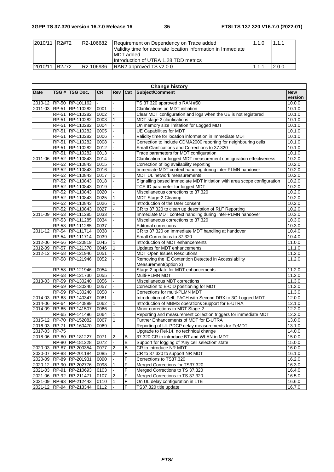| 2010/11 R2#72 | R2-106682 | Requirement on Dependency on Trace added<br>Validity time for accurate location information in Immediate<br>IMDT added<br>Introduction of UTRA 1.28 TDD metrics | 1.1.0 | 1.1.1 |
|---------------|-----------|-----------------------------------------------------------------------------------------------------------------------------------------------------------------|-------|-------|
| 2010/11 R2#72 | R2-106936 | RAN2 approved TS v2.0.0                                                                                                                                         | 1.1.7 | 2.0.0 |

| <b>Change history</b> |  |                         |           |                |     |                                                                         |            |
|-----------------------|--|-------------------------|-----------|----------------|-----|-------------------------------------------------------------------------|------------|
| Date                  |  | TSG # TSG Doc.          | <b>CR</b> | <b>Rev</b>     | Cat | Subject/Comment                                                         | <b>New</b> |
|                       |  |                         |           |                |     |                                                                         | version    |
|                       |  | 2010-12 RP-50 RP-101162 |           |                |     | TS 37.320 approved b RAN #50                                            | 10.0.0     |
|                       |  | 2011-03 RP-51 RP-110282 | 0001      |                |     | Clarifications on MDT initiation                                        | 10.1.0     |
|                       |  | RP-51 RP-110282         | 0002      |                |     | Clear MDT configuration and logs when the UE is not registered          | 10.1.0     |
|                       |  | RP-51 RP-110282         | 0003      | 1              |     | MDT stage 2 clarifications                                              | 10.1.0     |
|                       |  | RP-51 RP-110282         | 0004      |                |     | On memory size limitation for Logged MDT                                | 10.1.0     |
|                       |  | RP-51 RP-110282         | 0005      |                |     | UE Capabilities for MDT                                                 | 10.1.0     |
|                       |  | RP-51 RP-110282         | 0006      |                |     | Validity time for location information in Immediate MDT                 | 10.1.0     |
|                       |  | RP-51 RP-110282         | 0008      |                |     | Correction to include CDMA2000 reporting for neighbouring cells         | 10.1.0     |
|                       |  | RP-51 RP-110282         | 0012      |                |     | Small Clarifications and Corrections to 37.320                          | 10.1.0     |
|                       |  | RP-51 RP-110282         | 0013      |                |     | Trace parameters for MDT configuration                                  | 10.1.0     |
| 2011-06               |  | RP-52 RP-110843         | 0014      |                |     | Clarification for logged MDT measurement configuration effectiveness    | 10.2.0     |
|                       |  | RP-52 RP-110843         | 0015      |                |     | Correction of log availability reporting                                | 10.2.0     |
|                       |  | RP-52 RP-110843         | 0016      |                |     | Immediate MDT context handling during inter-PLMN handover               | 10.2.0     |
|                       |  | RP-52 RP-110843         | 0017      |                |     | MDT UL network measurements                                             | 10.2.0     |
|                       |  | RP-52 RP-110843         | 0018      |                |     | Signalling based Immediate MDT initiation with area scope configuration | 10.2.0     |
|                       |  | RP-52 RP-110843         | 0019      |                |     | TCE ID parameter for logged MDT                                         | 10.2.0     |
|                       |  | RP-52 RP-110843         | 0020      |                |     | Miscellaneous corrections to 37.320                                     | 10.2.0     |
|                       |  | RP-52 RP-110843         | 0025      | 1              |     | MDT Stage-2 Cleanup                                                     | 10.2.0     |
|                       |  | RP-52 RP-110843         | 0026      | 1              |     | Introduction of the User consent                                        | 10.2.0     |
|                       |  | RP-52 RP-110843         | 0027      |                |     | CR to 37.320 to clean up description of RLF Reporting                   | 10.2.0     |
| 2011-09               |  | RP-53 RP-111285         | 0033      |                |     | Immediate MDT context handling during inter-PLMN handover               | 10.3.0     |
|                       |  | RP-53 RP-111285         | 0034      |                |     | Miscellaneous corrections to 37.320                                     | 10.3.0     |
|                       |  | RP-53 RP-111285         | 0037      |                |     | <b>Editorial corrections</b>                                            | 10.3.0     |
| 2011-12               |  | RP-54 RP-111714         | 0038      |                |     | CR to 37.320 on Immediate MDT handling at handover                      | 10.4.0     |
|                       |  | RP-54 RP-111714         | 0039      |                |     | Small Corrections to 37.320                                             | 10.4.0     |
| 2012-06               |  | RP-56 RP-120819         | 0045      |                |     | Introduction of MDT enhancements                                        | 11.0.0     |
|                       |  | 2012-09 RP-57 RP-121370 | 0046      | 1              |     | Updates for MDT enhancements                                            | 11.1.0     |
|                       |  | 2012-12 RP-58 RP-121946 | 0051      |                |     | <b>MDT Open Issues Resolutions</b>                                      | 11.2.0     |
|                       |  | RP-58 RP-121946         | 0052      |                |     | Removing the IE Contention Detected in Accessiability                   | 11.2.0     |
|                       |  |                         |           |                |     | Measurement(option 3)                                                   |            |
|                       |  | RP-58 RP-121946         | 0054      |                |     | Stage-2 update for MDT enhancements                                     | 11.2.0     |
|                       |  | RP-58 RP-121730         | 0055      |                |     | Multi-PLMN MDT                                                          | 11.2.0     |
| 2013-03               |  | RP-59 RP-130240         | 0056      |                |     | Miscellaneous MDT corrections                                           | 11.3.0     |
|                       |  | RP-59 RP-130240         | 0057      |                |     | Correction to E-CID positioning for MDT                                 | 11.3.0     |
|                       |  | RP-59 RP-130240         | 0058      |                |     | Corrections for multi-PLMN MDT                                          | 11.3.0     |
|                       |  | 2014-03 RP-63 RP-140347 | 0061      |                |     | Introduction of Cell_FACH with Second DRX to 3G Logged MDT              | 12.0.0     |
|                       |  | 2014-06 RP-64 RP-140889 | 0062      | 1              |     | Introduction of MBMS operations Support for E-UTRA                      | 12.1.0     |
| 2014-09               |  | RP-65 RP-141507         | 0066      |                |     | Minor corrections to MDT Stage-2                                        | 12.2.0     |
|                       |  |                         | 0064      |                |     | Reporting and measurement collection triggers for immediate MDT         | 12.2.0     |
|                       |  | RP-65 RP-141496         |           |                |     |                                                                         |            |
|                       |  | 2015-12 RP-70 RP-152082 | 0067      | 1              |     | Further Enhancements of MDT for E-UTRA                                  | 13.0.0     |
|                       |  | 2016-03 RP-71 RP-160470 | 0069      |                |     | Reporting of UL PDCP delay measurements for FeMDT                       | 13.1.0     |
| 2017-03 RP-75         |  |                         |           |                |     | Upgrade to Rel-14, no technical change                                  | 14.0.0     |
|                       |  | 2018-06 RP-80 RP-181227 | 0071      | 2              | B   | 37.320 CR to introduce BT and WLAN in MDT                               | 15.0.0     |
|                       |  | RP-80 RP-181228         | 0072      | $\blacksquare$ | B   | Support for logging of 'Any cell selection' state                       | 15.0.0     |
|                       |  | 2020-03 RP-87 RP-200354 | 0077      | 2              | В   | CR to Introduce NR MDT                                                  | 16.0.0     |
|                       |  | 2020-07 RP-88 RP-201184 | 0085      | $\overline{2}$ | F   | CR to 37.320 to support NR MDT                                          | 16.1.0     |
|                       |  | 2020-09 RP-89 RP-201931 | 0090      |                | F   | Corrections to TS37.320                                                 | 16.2.0     |
|                       |  | 2020-12 RP-90 RP-202776 | 0098      | 1              | F   | Merged Corrections for TS37.320                                         | 16.3.0     |
|                       |  | 2021-03 RP-91 RP-210693 | 0103      |                | F   | Merged Corrections to TS 37.320                                         | 16.4.0     |
|                       |  | 2021-06 RP-92 RP-211471 | 0107      | $\overline{2}$ | F   | Merged Corrections to TS 37.320                                         | 16.5.0     |
|                       |  | 2021-09 RP-93 RP-212443 | 0110      | $\mathbf{1}$   | F   | On UL delay configuration in LTE                                        | 16.6.0     |
|                       |  | 2021-12 RP-94 RP-213344 | 0112      |                | F   | TS37.320 title update                                                   | 16.7.0     |